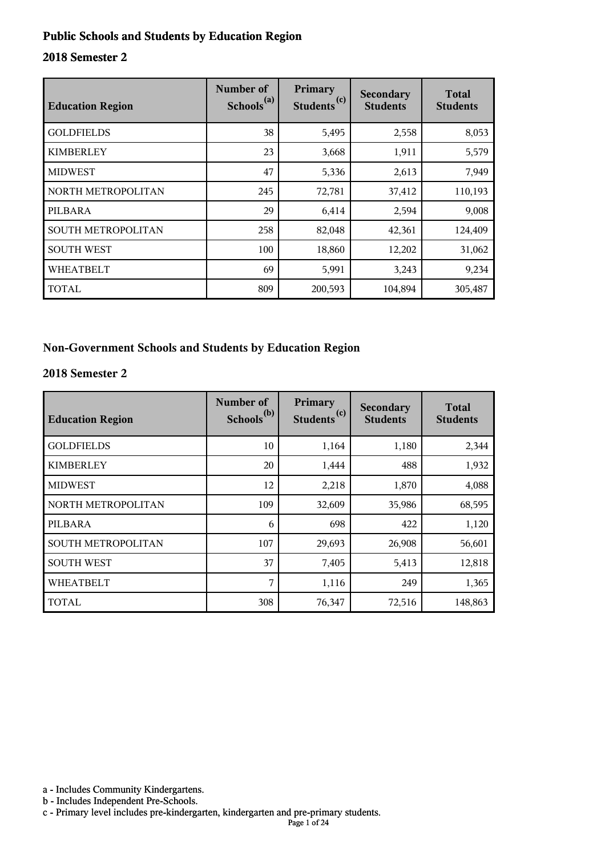#### **Public Schools and Students by Education Region**

#### **2018 Semester 2**

| <b>Education Region</b> | Number of<br>Schools <sup>(a)</sup> | Primary<br>Students <sup>(c)</sup> | Secondary<br><b>Students</b> | <b>Total</b><br><b>Students</b> |
|-------------------------|-------------------------------------|------------------------------------|------------------------------|---------------------------------|
| <b>GOLDFIELDS</b>       | 38                                  | 5,495                              | 2,558                        | 8,053                           |
| <b>KIMBERLEY</b>        | 23                                  | 3,668                              | 1,911                        | 5,579                           |
| <b>MIDWEST</b>          | 47                                  | 5,336                              | 2,613                        | 7,949                           |
| NORTH METROPOLITAN      | 245                                 | 72,781                             | 37,412                       | 110,193                         |
| PILBARA                 | 29                                  | 6,414                              | 2,594                        | 9,008                           |
| SOUTH METROPOLITAN      | 258                                 | 82,048                             | 42,361                       | 124,409                         |
| <b>SOUTH WEST</b>       | 100                                 | 18,860                             | 12,202                       | 31,062                          |
| <b>WHEATBELT</b>        | 69                                  | 5,991                              | 3,243                        | 9,234                           |
| TOTAL                   | 809                                 | 200,593                            | 104,894                      | 305,487                         |

#### **Non-Government Schools and Students by Education Region**

#### **2018 Semester 2**

| <b>Education Region</b> | Number of<br>Schools <sup>(b)</sup> | Primary<br>Students <sup>(c)</sup> | Secondary<br><b>Students</b> | <b>Total</b><br><b>Students</b> |
|-------------------------|-------------------------------------|------------------------------------|------------------------------|---------------------------------|
| <b>GOLDFIELDS</b>       | 10                                  | 1,164                              | 1,180                        | 2,344                           |
| <b>KIMBERLEY</b>        | 20                                  | 1,444                              | 488                          | 1,932                           |
| <b>MIDWEST</b>          | 12                                  | 2,218                              | 1,870                        | 4,088                           |
| NORTH METROPOLITAN      | 109                                 | 32,609                             | 35,986                       | 68,595                          |
| PILBARA                 | 6                                   | 698                                | 422                          | 1,120                           |
| SOUTH METROPOLITAN      | 107                                 | 29,693                             | 26,908                       | 56,601                          |
| <b>SOUTH WEST</b>       | 37                                  | 7,405                              | 5,413                        | 12,818                          |
| <b>WHEATBELT</b>        | 7                                   | 1,116                              | 249                          | 1,365                           |
| <b>TOTAL</b>            | 308                                 | 76,347                             | 72,516                       | 148,863                         |

a - Includes Community Kindergartens.

b - Includes Independent Pre-Schools.

c - Primary level includes pre-kindergarten, kindergarten and pre-primary students.

Page 1 of 24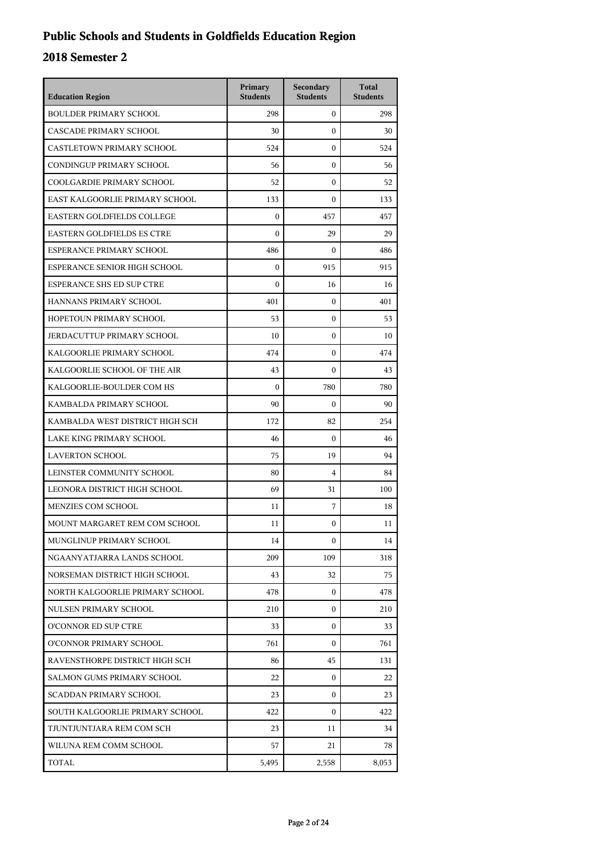## **Public Schools and Students in Goldfields Education Region**

| <b>Education Region</b>           | Primary<br><b>Students</b> | Secondary<br><b>Students</b> | <b>Total</b><br><b>Students</b> |
|-----------------------------------|----------------------------|------------------------------|---------------------------------|
| <b>BOULDER PRIMARY SCHOOL</b>     | 298                        | $\mathbf{0}$                 | 298                             |
| CASCADE PRIMARY SCHOOL            | 30                         | $\theta$                     | 30                              |
| CASTLETOWN PRIMARY SCHOOL         | 524                        | $\mathbf{0}$                 | 524                             |
| CONDINGUP PRIMARY SCHOOL          | 56                         | $\boldsymbol{0}$             | 56                              |
| COOLGARDIE PRIMARY SCHOOL         | 52                         | $\boldsymbol{0}$             | 52                              |
| EAST KALGOORLIE PRIMARY SCHOOL    | 133                        | $\boldsymbol{0}$             | 133                             |
| EASTERN GOLDFIELDS COLLEGE        | $\mathbf{0}$               | 457                          | 457                             |
| <b>EASTERN GOLDFIELDS ES CTRE</b> | $\mathbf{0}$               | 29                           | 29                              |
| ESPERANCE PRIMARY SCHOOL          | 486                        | $\boldsymbol{0}$             | 486                             |
| ESPERANCE SENIOR HIGH SCHOOL      | $\boldsymbol{0}$           | 915                          | 915                             |
| <b>ESPERANCE SHS ED SUP CTRE</b>  | $\mathbf{0}$               | 16                           | 16                              |
| HANNANS PRIMARY SCHOOL            | 401                        | $\mathbf{0}$                 | 401                             |
| HOPETOUN PRIMARY SCHOOL           | 53                         | $\mathbf{0}$                 | 53                              |
| JERDACUTTUP PRIMARY SCHOOL        | 10                         | $\boldsymbol{0}$             | 10                              |
| KALGOORLIE PRIMARY SCHOOL         | 474                        | $\boldsymbol{0}$             | 474                             |
| KALGOORLIE SCHOOL OF THE AIR      | 43                         | $\boldsymbol{0}$             | 43                              |
| KALGOORLIE-BOULDER COM HS         | $\theta$                   | 780                          | 780                             |
| KAMBALDA PRIMARY SCHOOL           | 90                         | $\boldsymbol{0}$             | 90                              |
| KAMBALDA WEST DISTRICT HIGH SCH   | 172                        | 82                           | 254                             |
| LAKE KING PRIMARY SCHOOL          | 46                         | $\boldsymbol{0}$             | 46                              |
| <b>LAVERTON SCHOOL</b>            | 75                         | 19                           | 94                              |
| LEINSTER COMMUNITY SCHOOL         | 80                         | $\overline{4}$               | 84                              |
| LEONORA DISTRICT HIGH SCHOOL      | 69                         | 31                           | 100                             |
| MENZIES COM SCHOOL                | 11                         | 7                            | 18                              |
| MOUNT MARGARET REM COM SCHOOL     | 11                         | $\mathbf{0}$                 | 11                              |
| MUNGLINUP PRIMARY SCHOOL          | 14                         | $\mathbf{0}$                 | 14                              |
| NGAANYATJARRA LANDS SCHOOL        | 209                        | 109                          | 318                             |
| NORSEMAN DISTRICT HIGH SCHOOL     | 43                         | 32                           | 75                              |
| NORTH KALGOORLIE PRIMARY SCHOOL   | 478                        | $\mathbf{0}$                 | 478                             |
| NULSEN PRIMARY SCHOOL             | 210                        | 0                            | 210                             |
| O'CONNOR ED SUP CTRE              | 33                         | 0                            | 33                              |
| O'CONNOR PRIMARY SCHOOL           | 761                        | $\Omega$                     | 761                             |
| RAVENSTHORPE DISTRICT HIGH SCH    | 86                         | 45                           | 131                             |
| SALMON GUMS PRIMARY SCHOOL        | 22                         | $\mathbf{0}$                 | 22                              |
| SCADDAN PRIMARY SCHOOL            | 23                         | 0                            | 23                              |
| SOUTH KALGOORLIE PRIMARY SCHOOL   | 422                        | $\Omega$                     | 422                             |
| TJUNTJUNTJARA REM COM SCH         | 23                         | 11                           | 34                              |
| WILUNA REM COMM SCHOOL            | 57                         | 21                           | 78                              |
| TOTAL                             | 5,495                      | 2,558                        | 8,053                           |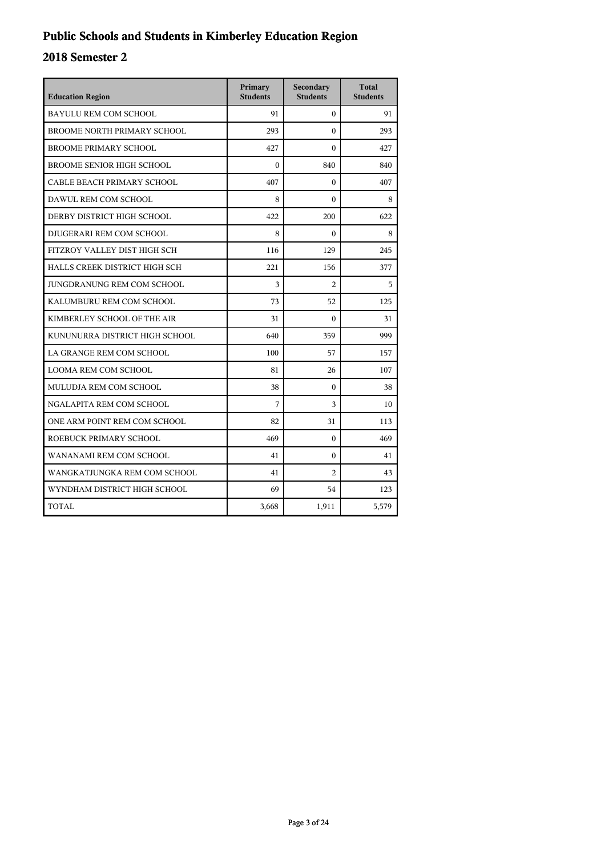## **Public Schools and Students in Kimberley Education Region**

| <b>Education Region</b>            | Primary<br><b>Students</b> | Secondary<br><b>Students</b> | <b>Total</b><br><b>Students</b> |
|------------------------------------|----------------------------|------------------------------|---------------------------------|
| <b>BAYULU REM COM SCHOOL</b>       | 91                         | $\Omega$                     | 91                              |
| <b>BROOME NORTH PRIMARY SCHOOL</b> | 293                        | $\theta$                     | 293                             |
| <b>BROOME PRIMARY SCHOOL</b>       | 427                        | $\Omega$                     | 427                             |
| <b>BROOME SENIOR HIGH SCHOOL</b>   | $\theta$                   | 840                          | 840                             |
| CABLE BEACH PRIMARY SCHOOL         | 407                        | $\theta$                     | 407                             |
| DAWUL REM COM SCHOOL               | 8                          | $\theta$                     | 8                               |
| DERBY DISTRICT HIGH SCHOOL         | 422                        | 200                          | 622                             |
| DJUGERARI REM COM SCHOOL           | 8                          | $\Omega$                     | 8                               |
| FITZROY VALLEY DIST HIGH SCH       | 116                        | 129                          | 245                             |
| HALLS CREEK DISTRICT HIGH SCH      | 221                        | 156                          | 377                             |
| JUNGDRANUNG REM COM SCHOOL         | 3                          | $\overline{c}$               | 5                               |
| KALUMBURU REM COM SCHOOL           | 73                         | 52                           | 125                             |
| KIMBERLEY SCHOOL OF THE AIR        | 31                         | $\theta$                     | 31                              |
| KUNUNURRA DISTRICT HIGH SCHOOL     | 640                        | 359                          | 999                             |
| LA GRANGE REM COM SCHOOL           | 100                        | 57                           | 157                             |
| LOOMA REM COM SCHOOL               | 81                         | 26                           | 107                             |
| MULUDJA REM COM SCHOOL             | 38                         | $\theta$                     | 38                              |
| NGALAPITA REM COM SCHOOL           | 7                          | 3                            | 10                              |
| ONE ARM POINT REM COM SCHOOL       | 82                         | 31                           | 113                             |
| ROEBUCK PRIMARY SCHOOL             | 469                        | $\theta$                     | 469                             |
| WANANAMI REM COM SCHOOL            | 41                         | $\mathbf{0}$                 | 41                              |
| WANGKATJUNGKA REM COM SCHOOL       | 41                         | $\overline{c}$               | 43                              |
| WYNDHAM DISTRICT HIGH SCHOOL       | 69                         | 54                           | 123                             |
| <b>TOTAL</b>                       | 3,668                      | 1,911                        | 5,579                           |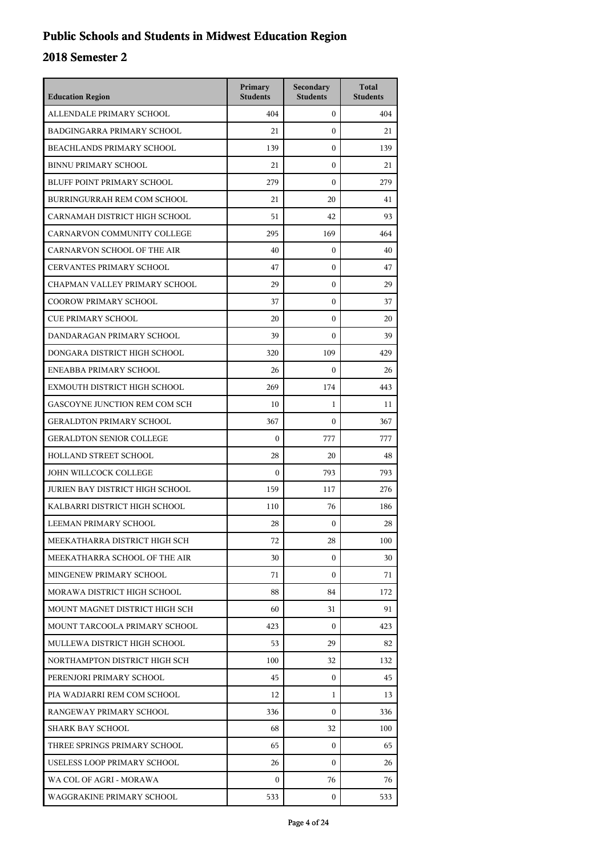## **Public Schools and Students in Midwest Education Region**

| <b>Education Region</b>           | Primary<br><b>Students</b> | Secondary<br><b>Students</b> | <b>Total</b><br><b>Students</b> |
|-----------------------------------|----------------------------|------------------------------|---------------------------------|
| ALLENDALE PRIMARY SCHOOL          | 404                        | $\mathbf{0}$                 | 404                             |
| <b>BADGINGARRA PRIMARY SCHOOL</b> | 21                         | $\boldsymbol{0}$             | 21                              |
| <b>BEACHLANDS PRIMARY SCHOOL</b>  | 139                        | $\boldsymbol{0}$             | 139                             |
| <b>BINNU PRIMARY SCHOOL</b>       | 21                         | $\boldsymbol{0}$             | 21                              |
| BLUFF POINT PRIMARY SCHOOL        | 279                        | $\mathbf{0}$                 | 279                             |
| BURRINGURRAH REM COM SCHOOL       | 21                         | 20                           | 41                              |
| CARNAMAH DISTRICT HIGH SCHOOL     | 51                         | 42                           | 93                              |
| CARNARVON COMMUNITY COLLEGE       | 295                        | 169                          | 464                             |
| CARNARVON SCHOOL OF THE AIR       | 40                         | 0                            | 40                              |
| CERVANTES PRIMARY SCHOOL          | 47                         | $\mathbf{0}$                 | 47                              |
| CHAPMAN VALLEY PRIMARY SCHOOL     | 29                         | $\mathbf{0}$                 | 29                              |
| <b>COOROW PRIMARY SCHOOL</b>      | 37                         | $\boldsymbol{0}$             | 37                              |
| CUE PRIMARY SCHOOL                | 20                         | $\boldsymbol{0}$             | 20                              |
| DANDARAGAN PRIMARY SCHOOL         | 39                         | $\mathbf{0}$                 | 39                              |
| DONGARA DISTRICT HIGH SCHOOL      | 320                        | 109                          | 429                             |
| ENEABBA PRIMARY SCHOOL            | 26                         | $\mathbf{0}$                 | 26                              |
| EXMOUTH DISTRICT HIGH SCHOOL      | 269                        | 174                          | 443                             |
| GASCOYNE JUNCTION REM COM SCH     | 10                         | $\mathbf{1}$                 | 11                              |
| <b>GERALDTON PRIMARY SCHOOL</b>   | 367                        | $\mathbf{0}$                 | 367                             |
| <b>GERALDTON SENIOR COLLEGE</b>   | $\mathbf{0}$               | 777                          | 777                             |
| HOLLAND STREET SCHOOL             | 28                         | 20                           | 48                              |
| JOHN WILLCOCK COLLEGE             | $\boldsymbol{0}$           | 793                          | 793                             |
| JURIEN BAY DISTRICT HIGH SCHOOL   | 159                        | 117                          | 276                             |
| KALBARRI DISTRICT HIGH SCHOOL     | 110                        | 76                           | 186                             |
| LEEMAN PRIMARY SCHOOL             | 28                         | $\mathbf{0}$                 | 28                              |
| MEEKATHARRA DISTRICT HIGH SCH     | 72                         | 28                           | 100                             |
| MEEKATHARRA SCHOOL OF THE AIR     | 30                         | $\mathbf{0}$                 | 30                              |
| MINGENEW PRIMARY SCHOOL           | 71                         | 0                            | 71                              |
| MORAWA DISTRICT HIGH SCHOOL       | 88                         | 84                           | 172                             |
| MOUNT MAGNET DISTRICT HIGH SCH    | 60                         | 31                           | 91                              |
| MOUNT TARCOOLA PRIMARY SCHOOL     | 423                        | 0                            | 423                             |
| MULLEWA DISTRICT HIGH SCHOOL      | 53                         | 29                           | 82                              |
| NORTHAMPTON DISTRICT HIGH SCH     | 100                        | 32                           | 132                             |
| PERENJORI PRIMARY SCHOOL          | 45                         | 0                            | 45                              |
| PIA WADJARRI REM COM SCHOOL       | 12                         | 1                            | 13                              |
| RANGEWAY PRIMARY SCHOOL           | 336                        | 0                            | 336                             |
| <b>SHARK BAY SCHOOL</b>           | 68                         | 32                           | 100                             |
| THREE SPRINGS PRIMARY SCHOOL      | 65                         | $\mathbf{0}$                 | 65                              |
| USELESS LOOP PRIMARY SCHOOL       | 26                         | 0                            | 26                              |
| WA COL OF AGRI - MORAWA           | 0                          | 76                           | 76                              |
| WAGGRAKINE PRIMARY SCHOOL         | 533                        | 0                            | 533                             |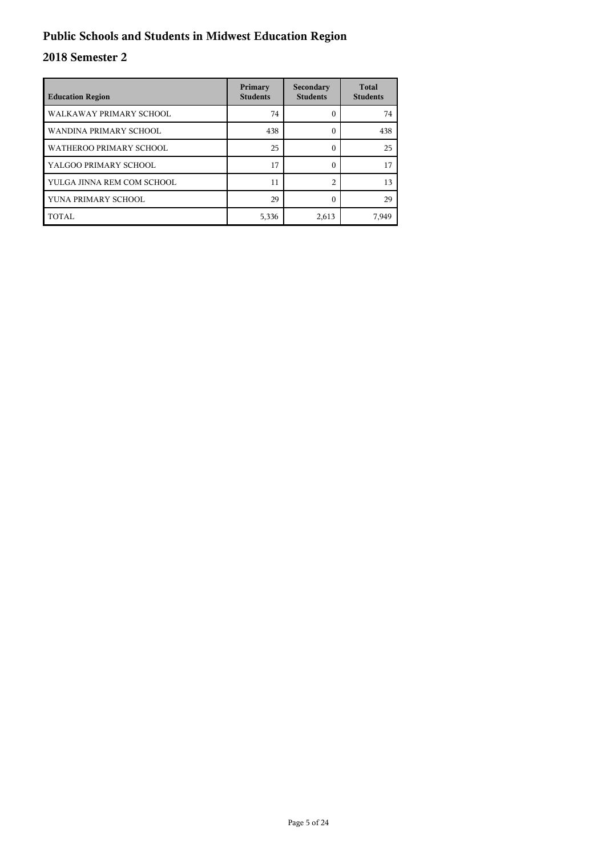## **Public Schools and Students in Midwest Education Region**

| <b>Education Region</b>    | Primary<br><b>Students</b> | Secondary<br><b>Students</b> | <b>Total</b><br><b>Students</b> |
|----------------------------|----------------------------|------------------------------|---------------------------------|
| WALKAWAY PRIMARY SCHOOL    | 74                         |                              | 74                              |
| WANDINA PRIMARY SCHOOL     | 438                        | 0                            | 438                             |
| WATHEROO PRIMARY SCHOOL    | 25                         | 0                            | 25                              |
| YALGOO PRIMARY SCHOOL      | 17                         | 0                            | 17                              |
| YULGA JINNA REM COM SCHOOL | 11                         | $\mathfrak{D}$               | 13                              |
| YUNA PRIMARY SCHOOL        | 29                         |                              | 29                              |
| TOTAL                      | 5,336                      | 2,613                        | 7,949                           |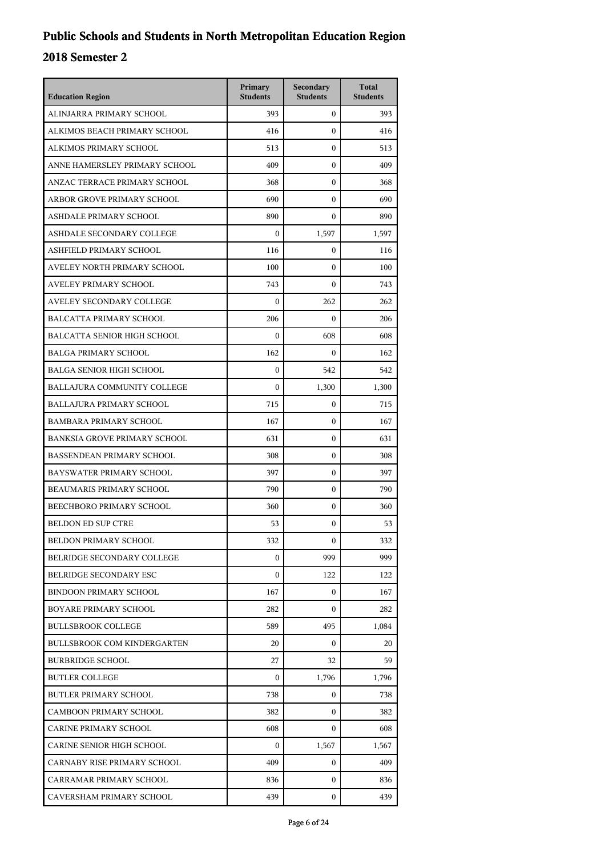| <b>Education Region</b>             | Primary<br><b>Students</b> | Secondary<br><b>Students</b> | <b>Total</b><br><b>Students</b> |
|-------------------------------------|----------------------------|------------------------------|---------------------------------|
| ALINJARRA PRIMARY SCHOOL            | 393                        | $\mathbf{0}$                 | 393                             |
| ALKIMOS BEACH PRIMARY SCHOOL        | 416                        | $\mathbf{0}$                 | 416                             |
| ALKIMOS PRIMARY SCHOOL              | 513                        | $\mathbf{0}$                 | 513                             |
| ANNE HAMERSLEY PRIMARY SCHOOL       | 409                        | $\mathbf{0}$                 | 409                             |
| ANZAC TERRACE PRIMARY SCHOOL        | 368                        | 0                            | 368                             |
| ARBOR GROVE PRIMARY SCHOOL          | 690                        | $\mathbf{0}$                 | 690                             |
| ASHDALE PRIMARY SCHOOL              | 890                        | $\mathbf{0}$                 | 890                             |
| ASHDALE SECONDARY COLLEGE           | $\theta$                   | 1,597                        | 1,597                           |
| ASHFIELD PRIMARY SCHOOL             | 116                        | $\boldsymbol{0}$             | 116                             |
| AVELEY NORTH PRIMARY SCHOOL         | 100                        | 0                            | 100                             |
| AVELEY PRIMARY SCHOOL               | 743                        | $\mathbf{0}$                 | 743                             |
| AVELEY SECONDARY COLLEGE            | $\boldsymbol{0}$           | 262                          | 262                             |
| BALCATTA PRIMARY SCHOOL             | 206                        | $\mathbf{0}$                 | 206                             |
| <b>BALCATTA SENIOR HIGH SCHOOL</b>  | $\boldsymbol{0}$           | 608                          | 608                             |
| <b>BALGA PRIMARY SCHOOL</b>         | 162                        | 0                            | 162                             |
| <b>BALGA SENIOR HIGH SCHOOL</b>     | $\mathbf{0}$               | 542                          | 542                             |
| BALLAJURA COMMUNITY COLLEGE         | $\Omega$                   | 1,300                        | 1,300                           |
| <b>BALLAJURA PRIMARY SCHOOL</b>     | 715                        | $\mathbf{0}$                 | 715                             |
| <b>BAMBARA PRIMARY SCHOOL</b>       | 167                        | $\mathbf{0}$                 | 167                             |
| <b>BANKSIA GROVE PRIMARY SCHOOL</b> | 631                        | 0                            | 631                             |
| <b>BASSENDEAN PRIMARY SCHOOL</b>    | 308                        | $\mathbf{0}$                 | 308                             |
| BAYSWATER PRIMARY SCHOOL            | 397                        | $\mathbf{0}$                 | 397                             |
| BEAUMARIS PRIMARY SCHOOL            | 790                        | $\mathbf{0}$                 | 790                             |
| BEECHBORO PRIMARY SCHOOL            | 360                        | $\mathbf{0}$                 | 360                             |
| <b>BELDON ED SUP CTRE</b>           | 53                         | $\mathbf{0}$                 | 53                              |
| BELDON PRIMARY SCHOOL               | 332                        | $\mathbf{0}$                 | 332                             |
| BELRIDGE SECONDARY COLLEGE          | $\boldsymbol{0}$           | 999                          | 999                             |
| BELRIDGE SECONDARY ESC              | $\boldsymbol{0}$           | 122                          | 122                             |
| <b>BINDOON PRIMARY SCHOOL</b>       | 167                        | $\mathbf{0}$                 | 167                             |
| BOYARE PRIMARY SCHOOL               | 282                        | $\Omega$                     | 282                             |
| <b>BULLSBROOK COLLEGE</b>           | 589                        | 495                          | 1,084                           |
| <b>BULLSBROOK COM KINDERGARTEN</b>  | 20                         | $\mathbf{0}$                 | 20                              |
| <b>BURBRIDGE SCHOOL</b>             | 27                         | 32                           | 59                              |
| <b>BUTLER COLLEGE</b>               | 0                          | 1,796                        | 1,796                           |
| <b>BUTLER PRIMARY SCHOOL</b>        | 738                        | $\overline{0}$               | 738                             |
| <b>CAMBOON PRIMARY SCHOOL</b>       | 382                        | $\mathbf{0}$                 | 382                             |
| <b>CARINE PRIMARY SCHOOL</b>        | 608                        | $\overline{0}$               | 608                             |
| CARINE SENIOR HIGH SCHOOL           | $\boldsymbol{0}$           | 1,567                        | 1,567                           |
| CARNABY RISE PRIMARY SCHOOL         | 409                        | $\mathbf{0}$                 | 409                             |
| CARRAMAR PRIMARY SCHOOL             | 836                        | $\mathbf{0}$                 | 836                             |
| CAVERSHAM PRIMARY SCHOOL            | 439                        | $\mathbf{0}$                 | 439                             |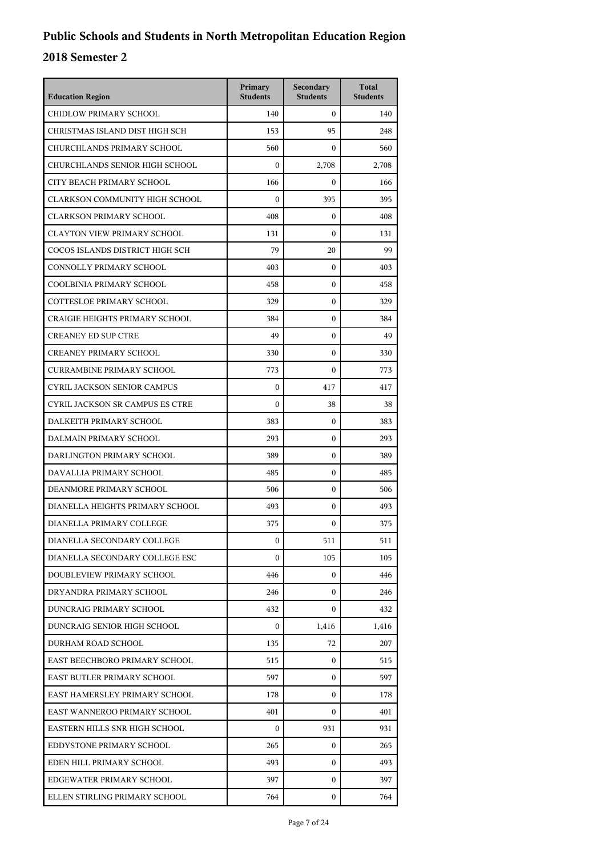| <b>Education Region</b>                | Primary<br><b>Students</b> | Secondary<br><b>Students</b> | <b>Total</b><br><b>Students</b> |
|----------------------------------------|----------------------------|------------------------------|---------------------------------|
| CHIDLOW PRIMARY SCHOOL                 | 140                        | $\mathbf{0}$                 | 140                             |
| CHRISTMAS ISLAND DIST HIGH SCH         | 153                        | 95                           | 248                             |
| CHURCHLANDS PRIMARY SCHOOL             | 560                        | $\Omega$                     | 560                             |
| CHURCHLANDS SENIOR HIGH SCHOOL         | 0                          | 2,708                        | 2,708                           |
| CITY BEACH PRIMARY SCHOOL              | 166                        | $\boldsymbol{0}$             | 166                             |
| CLARKSON COMMUNITY HIGH SCHOOL         | $\mathbf{0}$               | 395                          | 395                             |
| <b>CLARKSON PRIMARY SCHOOL</b>         | 408                        | $\mathbf{0}$                 | 408                             |
| <b>CLAYTON VIEW PRIMARY SCHOOL</b>     | 131                        | $\mathbf{0}$                 | 131                             |
| COCOS ISLANDS DISTRICT HIGH SCH        | 79                         | 20                           | 99                              |
| CONNOLLY PRIMARY SCHOOL                | 403                        | $\mathbf{0}$                 | 403                             |
| COOLBINIA PRIMARY SCHOOL               | 458                        | $\mathbf{0}$                 | 458                             |
| <b>COTTESLOE PRIMARY SCHOOL</b>        | 329                        | $\mathbf{0}$                 | 329                             |
| <b>CRAIGIE HEIGHTS PRIMARY SCHOOL</b>  | 384                        | $\mathbf{0}$                 | 384                             |
| <b>CREANEY ED SUP CTRE</b>             | 49                         | $\mathbf{0}$                 | 49                              |
| <b>CREANEY PRIMARY SCHOOL</b>          | 330                        | $\mathbf{0}$                 | 330                             |
| <b>CURRAMBINE PRIMARY SCHOOL</b>       | 773                        | $\mathbf{0}$                 | 773                             |
| <b>CYRIL JACKSON SENIOR CAMPUS</b>     | $\mathbf{0}$               | 417                          | 417                             |
| <b>CYRIL JACKSON SR CAMPUS ES CTRE</b> | $\mathbf{0}$               | 38                           | 38                              |
| DALKEITH PRIMARY SCHOOL                | 383                        | $\mathbf{0}$                 | 383                             |
| DALMAIN PRIMARY SCHOOL                 | 293                        | $\mathbf{0}$                 | 293                             |
| DARLINGTON PRIMARY SCHOOL              | 389                        | $\mathbf{0}$                 | 389                             |
| DAVALLIA PRIMARY SCHOOL                | 485                        | $\mathbf{0}$                 | 485                             |
| DEANMORE PRIMARY SCHOOL                | 506                        | $\mathbf{0}$                 | 506                             |
| DIANELLA HEIGHTS PRIMARY SCHOOL        | 493                        | $\mathbf{0}$                 | 493                             |
| DIANELLA PRIMARY COLLEGE               | 375                        | $\mathbf{0}$                 | 375                             |
| DIANELLA SECONDARY COLLEGE             | 0                          | 511                          | 511                             |
| DIANELLA SECONDARY COLLEGE ESC         | $\overline{0}$             | 105                          | 105                             |
| DOUBLEVIEW PRIMARY SCHOOL              | 446                        | $\mathbf{0}$                 | 446                             |
| DRYANDRA PRIMARY SCHOOL                | 246                        | 0                            | 246                             |
| DUNCRAIG PRIMARY SCHOOL                | 432                        | $\mathbf{0}$                 | 432                             |
| DUNCRAIG SENIOR HIGH SCHOOL            | $\mathbf{0}$               | 1,416                        | 1,416                           |
| DURHAM ROAD SCHOOL                     | 135                        | 72                           | 207                             |
| EAST BEECHBORO PRIMARY SCHOOL          | 515                        | $\mathbf{0}$                 | 515                             |
| EAST BUTLER PRIMARY SCHOOL             | 597                        | 0                            | 597                             |
| EAST HAMERSLEY PRIMARY SCHOOL          | 178                        | $\mathbf{0}$                 | 178                             |
| EAST WANNEROO PRIMARY SCHOOL           | 401                        | 0                            | 401                             |
| EASTERN HILLS SNR HIGH SCHOOL          | $\overline{0}$             | 931                          | 931                             |
| EDDYSTONE PRIMARY SCHOOL               | 265                        | $\mathbf{0}$                 | 265                             |
| EDEN HILL PRIMARY SCHOOL               | 493                        | 0                            | 493                             |
| EDGEWATER PRIMARY SCHOOL               | 397                        | $\mathbf{0}$                 | 397                             |
| ELLEN STIRLING PRIMARY SCHOOL          | 764                        | 0                            | 764                             |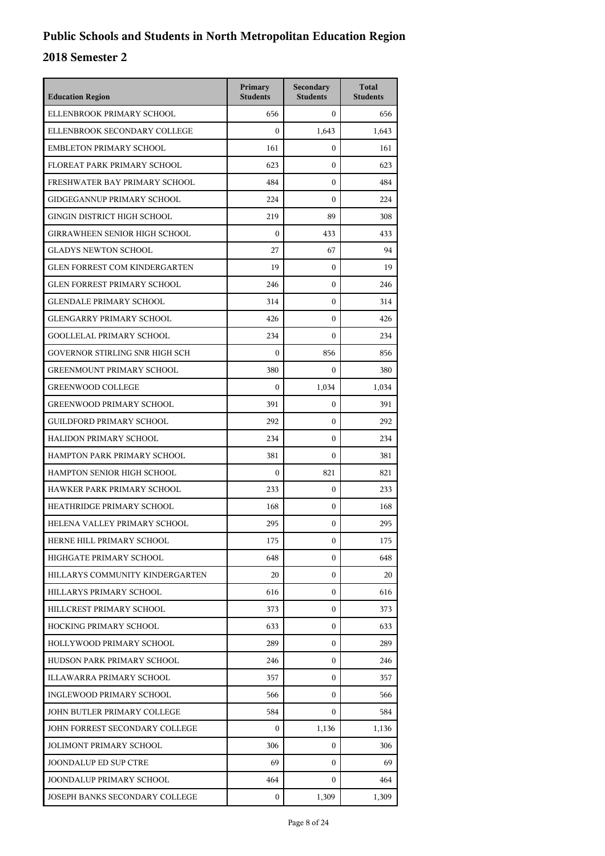| <b>Education Region</b>              | Primary<br><b>Students</b> | Secondary<br><b>Students</b> | <b>Total</b><br><b>Students</b> |
|--------------------------------------|----------------------------|------------------------------|---------------------------------|
| ELLENBROOK PRIMARY SCHOOL            | 656                        | $\mathbf{0}$                 | 656                             |
| ELLENBROOK SECONDARY COLLEGE         | $\mathbf{0}$               | 1,643                        | 1,643                           |
| <b>EMBLETON PRIMARY SCHOOL</b>       | 161                        | $\mathbf{0}$                 | 161                             |
| FLOREAT PARK PRIMARY SCHOOL          | 623                        | $\mathbf{0}$                 | 623                             |
| FRESHWATER BAY PRIMARY SCHOOL        | 484                        | $\mathbf{0}$                 | 484                             |
| <b>GIDGEGANNUP PRIMARY SCHOOL</b>    | 224                        | $\mathbf{0}$                 | 224                             |
| <b>GINGIN DISTRICT HIGH SCHOOL</b>   | 219                        | 89                           | 308                             |
| <b>GIRRAWHEEN SENIOR HIGH SCHOOL</b> | $\mathbf{0}$               | 433                          | 433                             |
| <b>GLADYS NEWTON SCHOOL</b>          | 27                         | 67                           | 94                              |
| <b>GLEN FORREST COM KINDERGARTEN</b> | 19                         | $\mathbf{0}$                 | 19                              |
| <b>GLEN FORREST PRIMARY SCHOOL</b>   | 246                        | $\mathbf{0}$                 | 246                             |
| <b>GLENDALE PRIMARY SCHOOL</b>       | 314                        | $\mathbf{0}$                 | 314                             |
| <b>GLENGARRY PRIMARY SCHOOL</b>      | 426                        | $\mathbf{0}$                 | 426                             |
| <b>GOOLLELAL PRIMARY SCHOOL</b>      | 234                        | $\mathbf{0}$                 | 234                             |
| GOVERNOR STIRLING SNR HIGH SCH       | $\mathbf{0}$               | 856                          | 856                             |
| <b>GREENMOUNT PRIMARY SCHOOL</b>     | 380                        | $\mathbf{0}$                 | 380                             |
| <b>GREENWOOD COLLEGE</b>             | $\mathbf{0}$               | 1,034                        | 1,034                           |
| <b>GREENWOOD PRIMARY SCHOOL</b>      | 391                        | $\mathbf{0}$                 | 391                             |
| <b>GUILDFORD PRIMARY SCHOOL</b>      | 292                        | $\mathbf{0}$                 | 292                             |
| HALIDON PRIMARY SCHOOL               | 234                        | $\mathbf{0}$                 | 234                             |
| HAMPTON PARK PRIMARY SCHOOL          | 381                        | $\mathbf{0}$                 | 381                             |
| HAMPTON SENIOR HIGH SCHOOL           | $\mathbf{0}$               | 821                          | 821                             |
| HAWKER PARK PRIMARY SCHOOL           | 233                        | $\mathbf{0}$                 | 233                             |
| HEATHRIDGE PRIMARY SCHOOL            | 168                        | $\mathbf{0}$                 | 168                             |
| HELENA VALLEY PRIMARY SCHOOL         | 295                        | $\mathbf{0}$                 | 295                             |
| HERNE HILL PRIMARY SCHOOL            | 175                        | 0                            | 175                             |
| HIGHGATE PRIMARY SCHOOL              | 648                        | $\mathbf{0}$                 | 648                             |
| HILLARYS COMMUNITY KINDERGARTEN      | 20                         | $\mathbf{0}$                 | 20                              |
| HILLARYS PRIMARY SCHOOL              | 616                        | $\mathbf{0}$                 | 616                             |
| HILLCREST PRIMARY SCHOOL             | 373                        | $\mathbf{0}$                 | 373                             |
| <b>HOCKING PRIMARY SCHOOL</b>        | 633                        | $\mathbf{0}$                 | 633                             |
| HOLLYWOOD PRIMARY SCHOOL             | 289                        | $\mathbf{0}$                 | 289                             |
| HUDSON PARK PRIMARY SCHOOL           | 246                        | $\mathbf{0}$                 | 246                             |
| ILLAWARRA PRIMARY SCHOOL             | 357                        | $\mathbf{0}$                 | 357                             |
| INGLEWOOD PRIMARY SCHOOL             | 566                        | $\mathbf{0}$                 | 566                             |
| JOHN BUTLER PRIMARY COLLEGE          | 584                        | $\mathbf{0}$                 | 584                             |
| JOHN FORREST SECONDARY COLLEGE       | $\mathbf{0}$               | 1,136                        | 1,136                           |
| <b>JOLIMONT PRIMARY SCHOOL</b>       | 306                        | $\mathbf{0}$                 | 306                             |
| JOONDALUP ED SUP CTRE                | 69                         | $\mathbf{0}$                 | 69                              |
| JOONDALUP PRIMARY SCHOOL             | 464                        | $\mathbf{0}$                 | 464                             |
| JOSEPH BANKS SECONDARY COLLEGE       | $\mathbf{0}$               | 1,309                        | 1,309                           |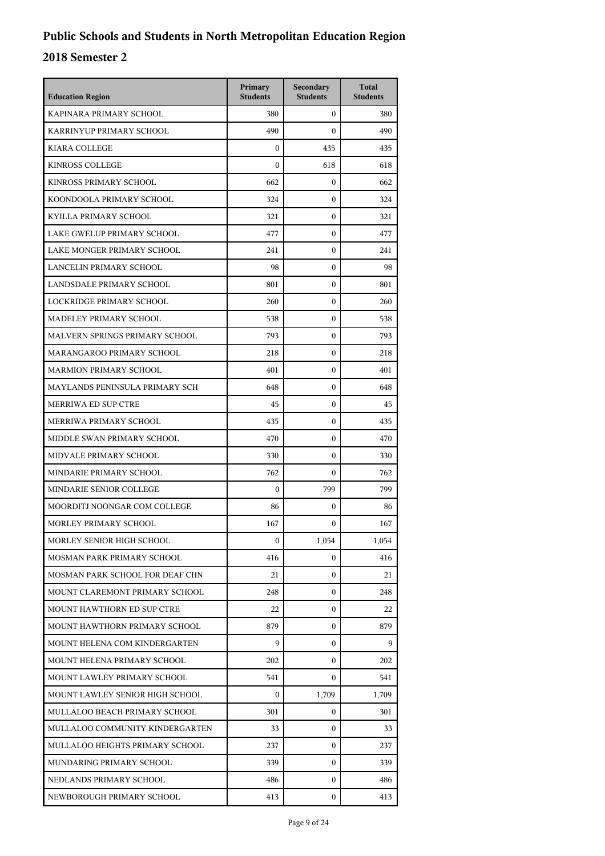| <b>Education Region</b>         | Primary<br><b>Students</b> | Secondary<br><b>Students</b> | <b>Total</b><br><b>Students</b> |
|---------------------------------|----------------------------|------------------------------|---------------------------------|
| KAPINARA PRIMARY SCHOOL         | 380                        | $\mathbf{0}$                 | 380                             |
| KARRINYUP PRIMARY SCHOOL        | 490                        | $\boldsymbol{0}$             | 490                             |
| KIARA COLLEGE                   | $\boldsymbol{0}$           | 435                          | 435                             |
| <b>KINROSS COLLEGE</b>          | $\boldsymbol{0}$           | 618                          | 618                             |
| KINROSS PRIMARY SCHOOL          | 662                        | $\boldsymbol{0}$             | 662                             |
| KOONDOOLA PRIMARY SCHOOL        | 324                        | $\boldsymbol{0}$             | 324                             |
| KYILLA PRIMARY SCHOOL           | 321                        | $\boldsymbol{0}$             | 321                             |
| LAKE GWELUP PRIMARY SCHOOL      | 477                        | $\boldsymbol{0}$             | 477                             |
| LAKE MONGER PRIMARY SCHOOL      | 241                        | $\boldsymbol{0}$             | 241                             |
| LANCELIN PRIMARY SCHOOL         | 98                         | $\boldsymbol{0}$             | 98                              |
| LANDSDALE PRIMARY SCHOOL        | 801                        | $\boldsymbol{0}$             | 801                             |
| LOCKRIDGE PRIMARY SCHOOL        | 260                        | $\boldsymbol{0}$             | 260                             |
| MADELEY PRIMARY SCHOOL          | 538                        | $\boldsymbol{0}$             | 538                             |
| MALVERN SPRINGS PRIMARY SCHOOL  | 793                        | $\boldsymbol{0}$             | 793                             |
| MARANGAROO PRIMARY SCHOOL       | 218                        | $\boldsymbol{0}$             | 218                             |
| <b>MARMION PRIMARY SCHOOL</b>   | 401                        | $\mathbf{0}$                 | 401                             |
| MAYLANDS PENINSULA PRIMARY SCH  | 648                        | $\boldsymbol{0}$             | 648                             |
| MERRIWA ED SUP CTRE             | 45                         | $\boldsymbol{0}$             | 45                              |
| MERRIWA PRIMARY SCHOOL          | 435                        | $\boldsymbol{0}$             | 435                             |
| MIDDLE SWAN PRIMARY SCHOOL      | 470                        | $\mathbf{0}$                 | 470                             |
| MIDVALE PRIMARY SCHOOL          | 330                        | $\mathbf{0}$                 | 330                             |
| MINDARIE PRIMARY SCHOOL         | 762                        | $\boldsymbol{0}$             | 762                             |
| MINDARIE SENIOR COLLEGE         | $\boldsymbol{0}$           | 799                          | 799                             |
| MOORDITJ NOONGAR COM COLLEGE    | 86                         | $\boldsymbol{0}$             | 86                              |
| MORLEY PRIMARY SCHOOL           | 167                        | $\boldsymbol{0}$             | 167                             |
| MORLEY SENIOR HIGH SCHOOL       | $\mathbf{0}$               | 1,054                        | 1,054                           |
| MOSMAN PARK PRIMARY SCHOOL      | 416                        | 0                            | 416                             |
| MOSMAN PARK SCHOOL FOR DEAF CHN | 21                         | $\mathbf{0}$                 | 21                              |
| MOUNT CLAREMONT PRIMARY SCHOOL  | 248                        | $\mathbf{0}$                 | 248                             |
| MOUNT HAWTHORN ED SUP CTRE      | 22                         | 0                            | 22                              |
| MOUNT HAWTHORN PRIMARY SCHOOL   | 879                        | $\mathbf{0}$                 | 879                             |
| MOUNT HELENA COM KINDERGARTEN   | 9                          | $\mathbf{0}$                 | 9                               |
| MOUNT HELENA PRIMARY SCHOOL     | 202                        | $\mathbf{0}$                 | 202                             |
| MOUNT LAWLEY PRIMARY SCHOOL     | 541                        | 0                            | 541                             |
| MOUNT LAWLEY SENIOR HIGH SCHOOL | 0                          | 1,709                        | 1,709                           |
| MULLALOO BEACH PRIMARY SCHOOL   | 301                        | 0                            | 301                             |
| MULLALOO COMMUNITY KINDERGARTEN | 33                         | $\mathbf{0}$                 | 33                              |
| MULLALOO HEIGHTS PRIMARY SCHOOL | 237                        | $\mathbf{0}$                 | 237                             |
| MUNDARING PRIMARY SCHOOL        | 339                        | 0                            | 339                             |
| NEDLANDS PRIMARY SCHOOL         | 486                        | 0                            | 486                             |
| NEWBOROUGH PRIMARY SCHOOL       | 413                        | 0                            | 413                             |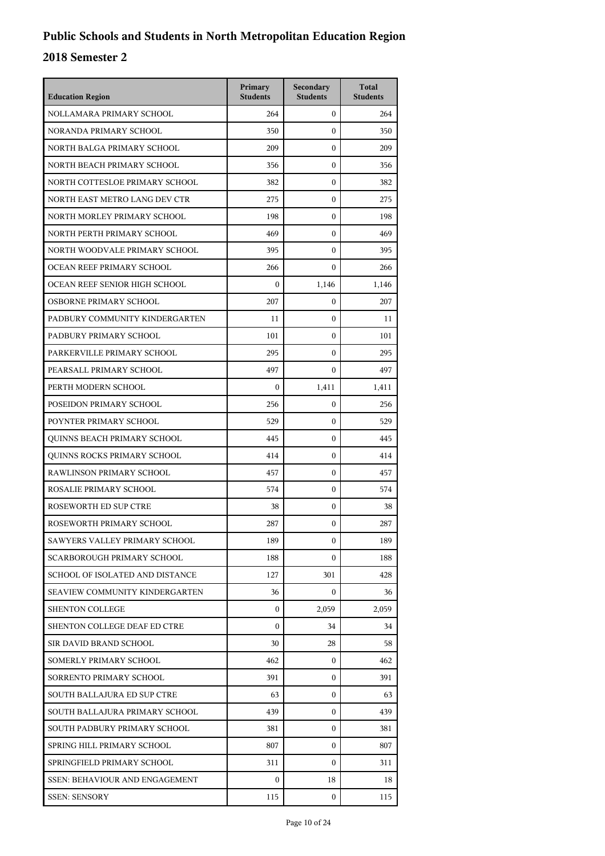| <b>Education Region</b>         | Primary<br><b>Students</b> | Secondary<br><b>Students</b> | <b>Total</b><br><b>Students</b> |
|---------------------------------|----------------------------|------------------------------|---------------------------------|
| NOLLAMARA PRIMARY SCHOOL        | 264                        | $\mathbf{0}$                 | 264                             |
| NORANDA PRIMARY SCHOOL          | 350                        | $\boldsymbol{0}$             | 350                             |
| NORTH BALGA PRIMARY SCHOOL      | 209                        | $\boldsymbol{0}$             | 209                             |
| NORTH BEACH PRIMARY SCHOOL      | 356                        | $\boldsymbol{0}$             | 356                             |
| NORTH COTTESLOE PRIMARY SCHOOL  | 382                        | $\boldsymbol{0}$             | 382                             |
| NORTH EAST METRO LANG DEV CTR   | 275                        | $\boldsymbol{0}$             | 275                             |
| NORTH MORLEY PRIMARY SCHOOL     | 198                        | $\boldsymbol{0}$             | 198                             |
| NORTH PERTH PRIMARY SCHOOL      | 469                        | $\boldsymbol{0}$             | 469                             |
| NORTH WOODVALE PRIMARY SCHOOL   | 395                        | $\boldsymbol{0}$             | 395                             |
| OCEAN REEF PRIMARY SCHOOL       | 266                        | $\mathbf{0}$                 | 266                             |
| OCEAN REEF SENIOR HIGH SCHOOL   | $\boldsymbol{0}$           | 1,146                        | 1,146                           |
| OSBORNE PRIMARY SCHOOL          | 207                        | $\boldsymbol{0}$             | 207                             |
| PADBURY COMMUNITY KINDERGARTEN  | 11                         | $\boldsymbol{0}$             | 11                              |
| PADBURY PRIMARY SCHOOL          | 101                        | $\boldsymbol{0}$             | 101                             |
| PARKERVILLE PRIMARY SCHOOL      | 295                        | $\mathbf{0}$                 | 295                             |
| PEARSALL PRIMARY SCHOOL         | 497                        | $\boldsymbol{0}$             | 497                             |
| PERTH MODERN SCHOOL             | $\boldsymbol{0}$           | 1,411                        | 1,411                           |
| POSEIDON PRIMARY SCHOOL         | 256                        | $\boldsymbol{0}$             | 256                             |
| POYNTER PRIMARY SCHOOL          | 529                        | $\boldsymbol{0}$             | 529                             |
| QUINNS BEACH PRIMARY SCHOOL     | 445                        | $\mathbf{0}$                 | 445                             |
| QUINNS ROCKS PRIMARY SCHOOL     | 414                        | $\boldsymbol{0}$             | 414                             |
| RAWLINSON PRIMARY SCHOOL        | 457                        | $\boldsymbol{0}$             | 457                             |
| ROSALIE PRIMARY SCHOOL          | 574                        | $\boldsymbol{0}$             | 574                             |
| ROSEWORTH ED SUP CTRE           | 38                         | $\boldsymbol{0}$             | 38                              |
| ROSEWORTH PRIMARY SCHOOL        | 287                        | $\mathbf{0}$                 | 287                             |
| SAWYERS VALLEY PRIMARY SCHOOL   | 189                        | $\boldsymbol{0}$             | 189                             |
| SCARBOROUGH PRIMARY SCHOOL      | 188                        | 0                            | 188                             |
| SCHOOL OF ISOLATED AND DISTANCE | 127                        | 301                          | 428                             |
| SEAVIEW COMMUNITY KINDERGARTEN  | 36                         | 0                            | 36                              |
| <b>SHENTON COLLEGE</b>          | 0                          | 2,059                        | 2,059                           |
| SHENTON COLLEGE DEAF ED CTRE    | $\mathbf{0}$               | 34                           | 34                              |
| SIR DAVID BRAND SCHOOL          | 30                         | 28                           | 58                              |
| SOMERLY PRIMARY SCHOOL          | 462                        | $\mathbf{0}$                 | 462                             |
| SORRENTO PRIMARY SCHOOL         | 391                        | $\mathbf{0}$                 | 391                             |
| SOUTH BALLAJURA ED SUP CTRE     | 63                         | 0                            | 63                              |
| SOUTH BALLAJURA PRIMARY SCHOOL  | 439                        | $\mathbf{0}$                 | 439                             |
| SOUTH PADBURY PRIMARY SCHOOL    | 381                        | $\mathbf{0}$                 | 381                             |
| SPRING HILL PRIMARY SCHOOL      | 807                        | $\mathbf{0}$                 | 807                             |
| SPRINGFIELD PRIMARY SCHOOL      | 311                        | $\Omega$                     | 311                             |
| SSEN: BEHAVIOUR AND ENGAGEMENT  | 0                          | 18                           | 18                              |
| <b>SSEN: SENSORY</b>            | 115                        | 0                            | 115                             |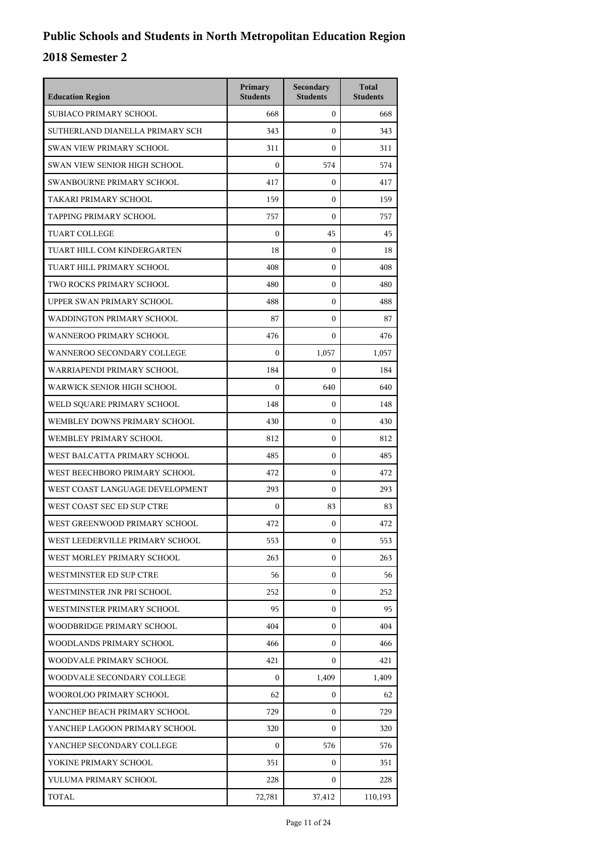| <b>Education Region</b>         | Primary<br><b>Students</b> | Secondary<br><b>Students</b> | <b>Total</b><br><b>Students</b> |
|---------------------------------|----------------------------|------------------------------|---------------------------------|
| SUBIACO PRIMARY SCHOOL          | 668                        | $\mathbf{0}$                 | 668                             |
| SUTHERLAND DIANELLA PRIMARY SCH | 343                        | $\mathbf{0}$                 | 343                             |
| <b>SWAN VIEW PRIMARY SCHOOL</b> | 311                        | $\mathbf{0}$                 | 311                             |
| SWAN VIEW SENIOR HIGH SCHOOL    | $\boldsymbol{0}$           | 574                          | 574                             |
| SWANBOURNE PRIMARY SCHOOL       | 417                        | $\mathbf{0}$                 | 417                             |
| TAKARI PRIMARY SCHOOL           | 159                        | $\mathbf{0}$                 | 159                             |
| TAPPING PRIMARY SCHOOL          | 757                        | $\mathbf{0}$                 | 757                             |
| TUART COLLEGE                   | $\theta$                   | 45                           | 45                              |
| TUART HILL COM KINDERGARTEN     | 18                         | 0                            | 18                              |
| TUART HILL PRIMARY SCHOOL       | 408                        | $\mathbf{0}$                 | 408                             |
| TWO ROCKS PRIMARY SCHOOL        | 480                        | $\mathbf{0}$                 | 480                             |
| UPPER SWAN PRIMARY SCHOOL       | 488                        | $\mathbf{0}$                 | 488                             |
| WADDINGTON PRIMARY SCHOOL       | 87                         | $\mathbf{0}$                 | 87                              |
| WANNEROO PRIMARY SCHOOL         | 476                        | $\mathbf{0}$                 | 476                             |
| WANNEROO SECONDARY COLLEGE      | $\mathbf{0}$               | 1,057                        | 1,057                           |
| WARRIAPENDI PRIMARY SCHOOL      | 184                        | $\mathbf{0}$                 | 184                             |
| WARWICK SENIOR HIGH SCHOOL      | $\boldsymbol{0}$           | 640                          | 640                             |
| WELD SQUARE PRIMARY SCHOOL      | 148                        | $\boldsymbol{0}$             | 148                             |
| WEMBLEY DOWNS PRIMARY SCHOOL    | 430                        | $\boldsymbol{0}$             | 430                             |
| WEMBLEY PRIMARY SCHOOL          | 812                        | $\boldsymbol{0}$             | 812                             |
| WEST BALCATTA PRIMARY SCHOOL    | 485                        | $\mathbf{0}$                 | 485                             |
| WEST BEECHBORO PRIMARY SCHOOL   | 472                        | $\boldsymbol{0}$             | 472                             |
| WEST COAST LANGUAGE DEVELOPMENT | 293                        | $\boldsymbol{0}$             | 293                             |
| WEST COAST SEC ED SUP CTRE      | $\boldsymbol{0}$           | 83                           | 83                              |
| WEST GREENWOOD PRIMARY SCHOOL   | 472                        | $\boldsymbol{0}$             | 472                             |
| WEST LEEDERVILLE PRIMARY SCHOOL | 553                        | $\boldsymbol{0}$             | 553                             |
| WEST MORLEY PRIMARY SCHOOL      | 263                        | $\mathbf{0}$                 | 263                             |
| WESTMINSTER ED SUP CTRE         | 56                         | $\mathbf{0}$                 | 56                              |
| WESTMINSTER JNR PRI SCHOOL      | 252                        | 0                            | 252                             |
| WESTMINSTER PRIMARY SCHOOL      | 95                         | $\mathbf{0}$                 | 95                              |
| WOODBRIDGE PRIMARY SCHOOL       | 404                        | $\mathbf{0}$                 | 404                             |
| WOODLANDS PRIMARY SCHOOL        | 466                        | $\mathbf{0}$                 | 466                             |
| WOODVALE PRIMARY SCHOOL         | 421                        | 0                            | 421                             |
| WOODVALE SECONDARY COLLEGE      | $\Omega$                   | 1,409                        | 1,409                           |
| WOOROLOO PRIMARY SCHOOL         | 62                         | $\mathbf{0}$                 | 62                              |
| YANCHEP BEACH PRIMARY SCHOOL    | 729                        | 0                            | 729                             |
| YANCHEP LAGOON PRIMARY SCHOOL   | 320                        | $\mathbf{0}$                 | 320                             |
| YANCHEP SECONDARY COLLEGE       | $\boldsymbol{0}$           | 576                          | 576                             |
| YOKINE PRIMARY SCHOOL           | 351                        | 0                            | 351                             |
| YULUMA PRIMARY SCHOOL           | 228                        | $\mathbf{0}$                 | 228                             |
| TOTAL                           | 72,781                     | 37,412                       | 110,193                         |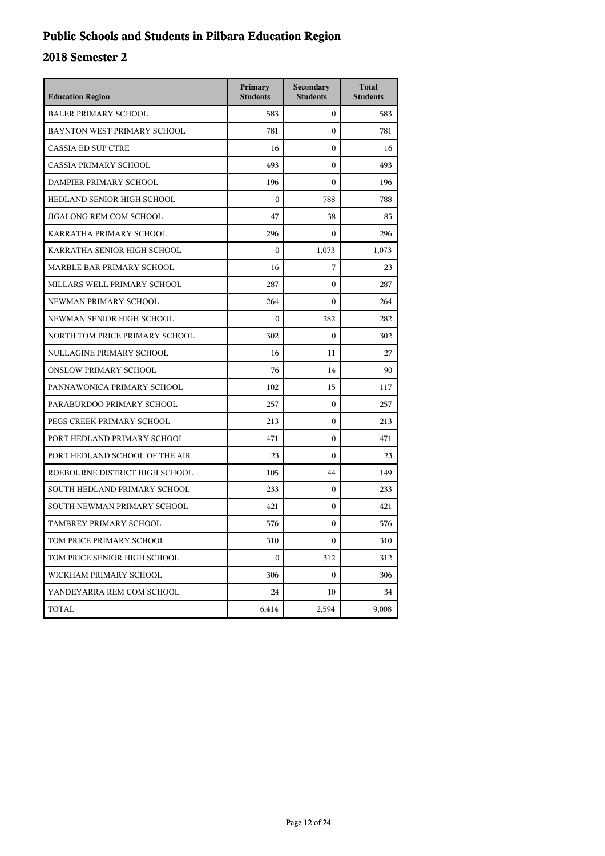## **Public Schools and Students in Pilbara Education Region**

| <b>Education Region</b>        | Primary<br><b>Students</b> | Secondary<br><b>Students</b> | <b>Total</b><br><b>Students</b> |
|--------------------------------|----------------------------|------------------------------|---------------------------------|
| <b>BALER PRIMARY SCHOOL</b>    | 583                        | $\boldsymbol{0}$             | 583                             |
| BAYNTON WEST PRIMARY SCHOOL    | 781                        | $\mathbf{0}$                 | 781                             |
| <b>CASSIA ED SUP CTRE</b>      | 16                         | $\boldsymbol{0}$             | 16                              |
| <b>CASSIA PRIMARY SCHOOL</b>   | 493                        | $\theta$                     | 493                             |
| DAMPIER PRIMARY SCHOOL         | 196                        | $\Omega$                     | 196                             |
| HEDLAND SENIOR HIGH SCHOOL     | $\mathbf{0}$               | 788                          | 788                             |
| JIGALONG REM COM SCHOOL        | 47                         | 38                           | 85                              |
| KARRATHA PRIMARY SCHOOL        | 296                        | $\boldsymbol{0}$             | 296                             |
| KARRATHA SENIOR HIGH SCHOOL    | $\mathbf{0}$               | 1,073                        | 1,073                           |
| MARBLE BAR PRIMARY SCHOOL      | 16                         | 7                            | 23                              |
| MILLARS WELL PRIMARY SCHOOL    | 287                        | $\Omega$                     | 287                             |
| NEWMAN PRIMARY SCHOOL          | 264                        | $\boldsymbol{0}$             | 264                             |
| NEWMAN SENIOR HIGH SCHOOL      | $\mathbf{0}$               | 282                          | 282                             |
| NORTH TOM PRICE PRIMARY SCHOOL | 302                        | $\mathbf{0}$                 | 302                             |
| NULLAGINE PRIMARY SCHOOL       | 16                         | 11                           | 27                              |
| <b>ONSLOW PRIMARY SCHOOL</b>   | 76                         | 14                           | 90                              |
| PANNAWONICA PRIMARY SCHOOL     | 102                        | 15                           | 117                             |
| PARABURDOO PRIMARY SCHOOL      | 257                        | $\boldsymbol{0}$             | 257                             |
| PEGS CREEK PRIMARY SCHOOL      | 213                        | $\mathbf{0}$                 | 213                             |
| PORT HEDLAND PRIMARY SCHOOL    | 471                        | $\boldsymbol{0}$             | 471                             |
| PORT HEDLAND SCHOOL OF THE AIR | 23                         | $\Omega$                     | 23                              |
| ROEBOURNE DISTRICT HIGH SCHOOL | 105                        | 44                           | 149                             |
| SOUTH HEDLAND PRIMARY SCHOOL   | 233                        | $\boldsymbol{0}$             | 233                             |
| SOUTH NEWMAN PRIMARY SCHOOL    | 421                        | $\mathbf{0}$                 | 421                             |
| TAMBREY PRIMARY SCHOOL         | 576                        | $\mathbf{0}$                 | 576                             |
| TOM PRICE PRIMARY SCHOOL       | 310                        | $\boldsymbol{0}$             | 310                             |
| TOM PRICE SENIOR HIGH SCHOOL   | $\boldsymbol{0}$           | 312                          | 312                             |
| WICKHAM PRIMARY SCHOOL         | 306                        | $\mathbf{0}$                 | 306                             |
| YANDEYARRA REM COM SCHOOL      | 24                         | 10                           | 34                              |
| TOTAL                          | 6,414                      | 2,594                        | 9,008                           |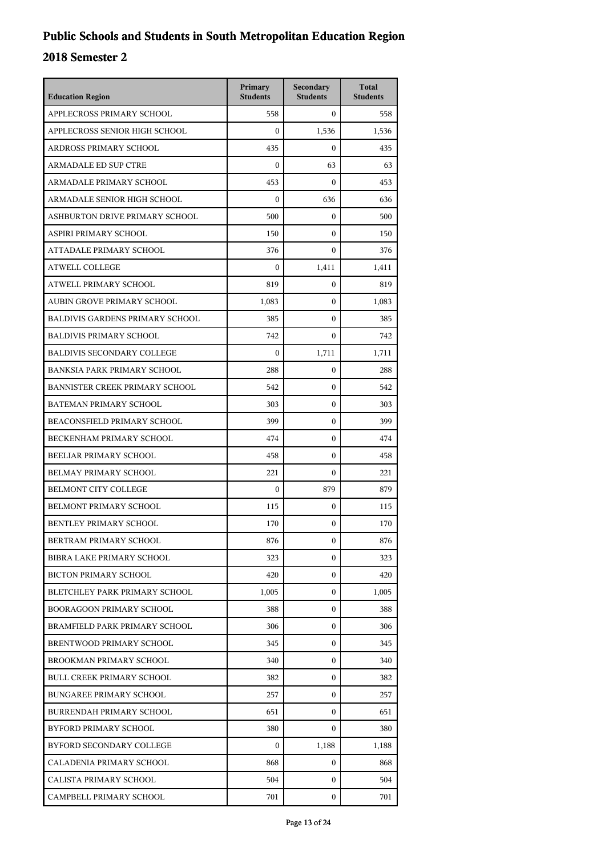| <b>Education Region</b>                | Primary<br><b>Students</b> | Secondary<br><b>Students</b> | <b>Total</b><br><b>Students</b> |
|----------------------------------------|----------------------------|------------------------------|---------------------------------|
| APPLECROSS PRIMARY SCHOOL              | 558                        | $\mathbf{0}$                 | 558                             |
| APPLECROSS SENIOR HIGH SCHOOL          | $\mathbf{0}$               | 1,536                        | 1,536                           |
| ARDROSS PRIMARY SCHOOL                 | 435                        | $\boldsymbol{0}$             | 435                             |
| <b>ARMADALE ED SUP CTRE</b>            | $\boldsymbol{0}$           | 63                           | 63                              |
| ARMADALE PRIMARY SCHOOL                | 453                        | $\Omega$                     | 453                             |
| ARMADALE SENIOR HIGH SCHOOL            | $\mathbf{0}$               | 636                          | 636                             |
| ASHBURTON DRIVE PRIMARY SCHOOL         | 500                        | $\boldsymbol{0}$             | 500                             |
| ASPIRI PRIMARY SCHOOL                  | 150                        | $\boldsymbol{0}$             | 150                             |
| ATTADALE PRIMARY SCHOOL                | 376                        | $\boldsymbol{0}$             | 376                             |
| <b>ATWELL COLLEGE</b>                  | $\boldsymbol{0}$           | 1,411                        | 1,411                           |
| ATWELL PRIMARY SCHOOL                  | 819                        | $\mathbf{0}$                 | 819                             |
| AUBIN GROVE PRIMARY SCHOOL             | 1,083                      | $\boldsymbol{0}$             | 1,083                           |
| <b>BALDIVIS GARDENS PRIMARY SCHOOL</b> | 385                        | $\boldsymbol{0}$             | 385                             |
| <b>BALDIVIS PRIMARY SCHOOL</b>         | 742                        | $\mathbf{0}$                 | 742                             |
| <b>BALDIVIS SECONDARY COLLEGE</b>      | $\Omega$                   | 1,711                        | 1,711                           |
| <b>BANKSIA PARK PRIMARY SCHOOL</b>     | 288                        | $\mathbf{0}$                 | 288                             |
| BANNISTER CREEK PRIMARY SCHOOL         | 542                        | $\boldsymbol{0}$             | 542                             |
| <b>BATEMAN PRIMARY SCHOOL</b>          | 303                        | $\boldsymbol{0}$             | 303                             |
| <b>BEACONSFIELD PRIMARY SCHOOL</b>     | 399                        | $\mathbf{0}$                 | 399                             |
| BECKENHAM PRIMARY SCHOOL               | 474                        | $\boldsymbol{0}$             | 474                             |
| BEELIAR PRIMARY SCHOOL                 | 458                        | $\mathbf{0}$                 | 458                             |
| BELMAY PRIMARY SCHOOL                  | 221                        | $\boldsymbol{0}$             | 221                             |
| <b>BELMONT CITY COLLEGE</b>            | $\mathbf{0}$               | 879                          | 879                             |
| BELMONT PRIMARY SCHOOL                 | 115                        | $\boldsymbol{0}$             | 115                             |
| <b>BENTLEY PRIMARY SCHOOL</b>          | 170                        | $\boldsymbol{0}$             | 170                             |
| BERTRAM PRIMARY SCHOOL                 | 876                        | 0                            | 876                             |
| BIBRA LAKE PRIMARY SCHOOL              | 323                        | $\mathbf{0}$                 | 323                             |
| <b>BICTON PRIMARY SCHOOL</b>           | 420                        | $\mathbf{0}$                 | 420                             |
| BLETCHLEY PARK PRIMARY SCHOOL          | 1,005                      | 0                            | 1,005                           |
| <b>BOORAGOON PRIMARY SCHOOL</b>        | 388                        | 0                            | 388                             |
| BRAMFIELD PARK PRIMARY SCHOOL          | 306                        | $\mathbf{0}$                 | 306                             |
| BRENTWOOD PRIMARY SCHOOL               | 345                        | $\mathbf{0}$                 | 345                             |
| BROOKMAN PRIMARY SCHOOL                | 340                        | $\mathbf{0}$                 | 340                             |
| <b>BULL CREEK PRIMARY SCHOOL</b>       | 382                        | 0                            | 382                             |
| <b>BUNGAREE PRIMARY SCHOOL</b>         | 257                        | 0                            | 257                             |
| BURRENDAH PRIMARY SCHOOL               | 651                        | $\mathbf{0}$                 | 651                             |
| BYFORD PRIMARY SCHOOL                  | 380                        | $\mathbf{0}$                 | 380                             |
| BYFORD SECONDARY COLLEGE               | $\mathbf{0}$               | 1,188                        | 1,188                           |
| CALADENIA PRIMARY SCHOOL               | 868                        | 0                            | 868                             |
| CALISTA PRIMARY SCHOOL                 | 504                        | 0                            | 504                             |
| CAMPBELL PRIMARY SCHOOL                | 701                        | 0                            | 701                             |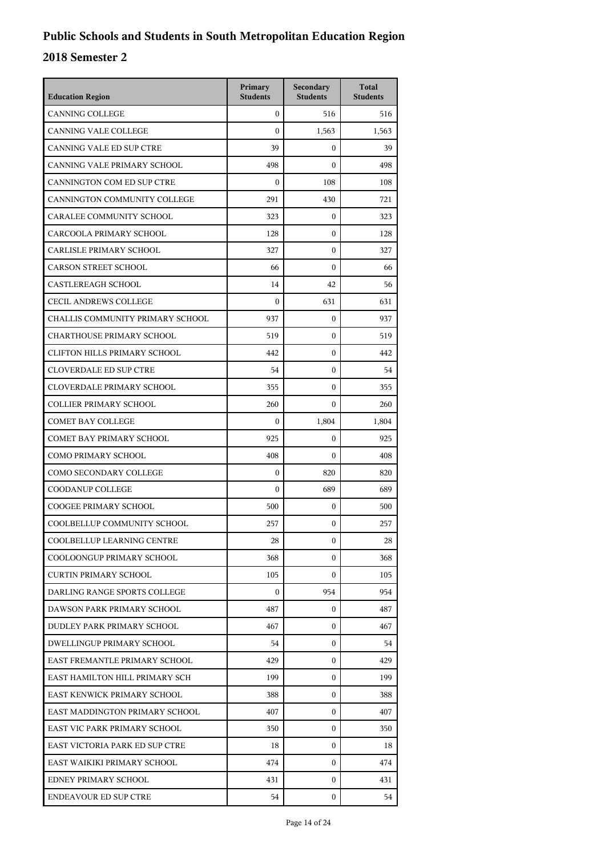| <b>Education Region</b>           | Primary<br><b>Students</b> | Secondary<br><b>Students</b> | <b>Total</b><br><b>Students</b> |
|-----------------------------------|----------------------------|------------------------------|---------------------------------|
| <b>CANNING COLLEGE</b>            | $\mathbf{0}$               | 516                          | 516                             |
| <b>CANNING VALE COLLEGE</b>       | $\mathbf{0}$               | 1,563                        | 1,563                           |
| CANNING VALE ED SUP CTRE          | 39                         | $\boldsymbol{0}$             | 39                              |
| CANNING VALE PRIMARY SCHOOL       | 498                        | $\boldsymbol{0}$             | 498                             |
| CANNINGTON COM ED SUP CTRE        | $\mathbf{0}$               | 108                          | 108                             |
| CANNINGTON COMMUNITY COLLEGE      | 291                        | 430                          | 721                             |
| CARALEE COMMUNITY SCHOOL          | 323                        | $\mathbf{0}$                 | 323                             |
| CARCOOLA PRIMARY SCHOOL           | 128                        | $\boldsymbol{0}$             | 128                             |
| CARLISLE PRIMARY SCHOOL           | 327                        | $\mathbf{0}$                 | 327                             |
| <b>CARSON STREET SCHOOL</b>       | 66                         | $\boldsymbol{0}$             | 66                              |
| <b>CASTLEREAGH SCHOOL</b>         | 14                         | 42                           | 56                              |
| <b>CECIL ANDREWS COLLEGE</b>      | $\mathbf{0}$               | 631                          | 631                             |
| CHALLIS COMMUNITY PRIMARY SCHOOL  | 937                        | $\boldsymbol{0}$             | 937                             |
| <b>CHARTHOUSE PRIMARY SCHOOL</b>  | 519                        | $\boldsymbol{0}$             | 519                             |
| CLIFTON HILLS PRIMARY SCHOOL      | 442                        | $\mathbf{0}$                 | 442                             |
| <b>CLOVERDALE ED SUP CTRE</b>     | 54                         | $\mathbf{0}$                 | 54                              |
| CLOVERDALE PRIMARY SCHOOL         | 355                        | $\mathbf{0}$                 | 355                             |
| <b>COLLIER PRIMARY SCHOOL</b>     | 260                        | $\mathbf{0}$                 | 260                             |
| <b>COMET BAY COLLEGE</b>          | $\mathbf{0}$               | 1,804                        | 1,804                           |
| <b>COMET BAY PRIMARY SCHOOL</b>   | 925                        | 0                            | 925                             |
| COMO PRIMARY SCHOOL               | 408                        | $\mathbf{0}$                 | 408                             |
| COMO SECONDARY COLLEGE            | $\mathbf{0}$               | 820                          | 820                             |
| COODANUP COLLEGE                  | $\mathbf{0}$               | 689                          | 689                             |
| <b>COOGEE PRIMARY SCHOOL</b>      | 500                        | 0                            | 500                             |
| COOLBELLUP COMMUNITY SCHOOL       | 257                        | $\mathbf{0}$                 | 257                             |
| <b>COOLBELLUP LEARNING CENTRE</b> | 28                         | 0                            | 28                              |
| COOLOONGUP PRIMARY SCHOOL         | 368                        | $\Omega$                     | 368                             |
| CURTIN PRIMARY SCHOOL             | 105                        | $\mathbf{0}$                 | 105                             |
| DARLING RANGE SPORTS COLLEGE      | $\mathbf{0}$               | 954                          | 954                             |
| DAWSON PARK PRIMARY SCHOOL        | 487                        | $\mathbf{0}$                 | 487                             |
| DUDLEY PARK PRIMARY SCHOOL        | 467                        | $\Omega$                     | 467                             |
| <b>DWELLINGUP PRIMARY SCHOOL</b>  | 54                         | $\Omega$                     | 54                              |
| EAST FREMANTLE PRIMARY SCHOOL     | 429                        | $\mathbf{0}$                 | 429                             |
| EAST HAMILTON HILL PRIMARY SCH    | 199                        | $\mathbf{0}$                 | 199                             |
| EAST KENWICK PRIMARY SCHOOL       | 388                        | $\mathbf{0}$                 | 388                             |
| EAST MADDINGTON PRIMARY SCHOOL    | 407                        | $\mathbf{0}$                 | 407                             |
| EAST VIC PARK PRIMARY SCHOOL      | 350                        | $\mathbf{0}$                 | 350                             |
| EAST VICTORIA PARK ED SUP CTRE    | 18                         | $\mathbf{0}$                 | 18                              |
| EAST WAIKIKI PRIMARY SCHOOL       | 474                        | $\mathbf{0}$                 | 474                             |
| EDNEY PRIMARY SCHOOL              | 431                        | $\mathbf{0}$                 | 431                             |
| <b>ENDEAVOUR ED SUP CTRE</b>      | 54                         | $\mathbf{0}$                 | 54                              |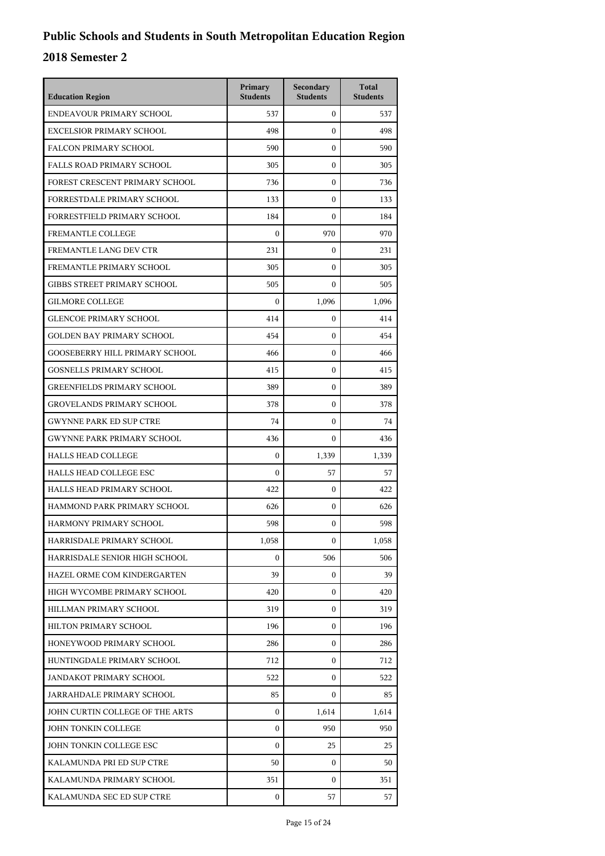| <b>Education Region</b>               | Primary<br><b>Students</b> | Secondary<br><b>Students</b> | <b>Total</b><br><b>Students</b> |
|---------------------------------------|----------------------------|------------------------------|---------------------------------|
| ENDEAVOUR PRIMARY SCHOOL              | 537                        | $\mathbf{0}$                 | 537                             |
| <b>EXCELSIOR PRIMARY SCHOOL</b>       | 498                        | $\mathbf{0}$                 | 498                             |
| <b>FALCON PRIMARY SCHOOL</b>          | 590                        | $\boldsymbol{0}$             | 590                             |
| <b>FALLS ROAD PRIMARY SCHOOL</b>      | 305                        | $\boldsymbol{0}$             | 305                             |
| FOREST CRESCENT PRIMARY SCHOOL        | 736                        | $\mathbf{0}$                 | 736                             |
| FORRESTDALE PRIMARY SCHOOL            | 133                        | $\boldsymbol{0}$             | 133                             |
| FORRESTFIELD PRIMARY SCHOOL           | 184                        | $\boldsymbol{0}$             | 184                             |
| <b>FREMANTLE COLLEGE</b>              | $\boldsymbol{0}$           | 970                          | 970                             |
| FREMANTLE LANG DEV CTR                | 231                        | $\boldsymbol{0}$             | 231                             |
| FREMANTLE PRIMARY SCHOOL              | 305                        | $\mathbf{0}$                 | 305                             |
| <b>GIBBS STREET PRIMARY SCHOOL</b>    | 505                        | $\mathbf{0}$                 | 505                             |
| <b>GILMORE COLLEGE</b>                | $\boldsymbol{0}$           | 1,096                        | 1,096                           |
| <b>GLENCOE PRIMARY SCHOOL</b>         | 414                        | $\boldsymbol{0}$             | 414                             |
| <b>GOLDEN BAY PRIMARY SCHOOL</b>      | 454                        | $\boldsymbol{0}$             | 454                             |
| <b>GOOSEBERRY HILL PRIMARY SCHOOL</b> | 466                        | $\mathbf{0}$                 | 466                             |
| <b>GOSNELLS PRIMARY SCHOOL</b>        | 415                        | $\boldsymbol{0}$             | 415                             |
| <b>GREENFIELDS PRIMARY SCHOOL</b>     | 389                        | $\boldsymbol{0}$             | 389                             |
| <b>GROVELANDS PRIMARY SCHOOL</b>      | 378                        | $\boldsymbol{0}$             | 378                             |
| <b>GWYNNE PARK ED SUP CTRE</b>        | 74                         | $\boldsymbol{0}$             | 74                              |
| <b>GWYNNE PARK PRIMARY SCHOOL</b>     | 436                        | 0                            | 436                             |
| <b>HALLS HEAD COLLEGE</b>             | $\mathbf{0}$               | 1,339                        | 1,339                           |
| HALLS HEAD COLLEGE ESC                | $\boldsymbol{0}$           | 57                           | 57                              |
| HALLS HEAD PRIMARY SCHOOL             | 422                        | $\boldsymbol{0}$             | 422                             |
| HAMMOND PARK PRIMARY SCHOOL           | 626                        | $\boldsymbol{0}$             | 626                             |
| HARMONY PRIMARY SCHOOL                | 598                        | $\mathbf{0}$                 | 598                             |
| HARRISDALE PRIMARY SCHOOL             | 1,058                      | 0                            | 1,058                           |
| HARRISDALE SENIOR HIGH SCHOOL         | $\boldsymbol{0}$           | 506                          | 506                             |
| HAZEL ORME COM KINDERGARTEN           | 39                         | $\mathbf{0}$                 | 39                              |
| HIGH WYCOMBE PRIMARY SCHOOL           | 420                        | 0                            | 420                             |
| HILLMAN PRIMARY SCHOOL                | 319                        | $\mathbf{0}$                 | 319                             |
| HILTON PRIMARY SCHOOL                 | 196                        | $\mathbf{0}$                 | 196                             |
| HONEYWOOD PRIMARY SCHOOL              | 286                        | $\mathbf{0}$                 | 286                             |
| HUNTINGDALE PRIMARY SCHOOL            | 712                        | $\mathbf{0}$                 | 712                             |
| JANDAKOT PRIMARY SCHOOL               | 522                        | $\mathbf{0}$                 | 522                             |
| JARRAHDALE PRIMARY SCHOOL             | 85                         | $\mathbf{0}$                 | 85                              |
| JOHN CURTIN COLLEGE OF THE ARTS       | $\mathbf{0}$               | 1,614                        | 1,614                           |
| JOHN TONKIN COLLEGE                   | $\mathbf{0}$               | 950                          | 950                             |
| JOHN TONKIN COLLEGE ESC               | $\mathbf{0}$               | 25                           | 25                              |
| KALAMUNDA PRI ED SUP CTRE             | 50                         | 0                            | 50                              |
| KALAMUNDA PRIMARY SCHOOL              | 351                        | 0                            | 351                             |
| KALAMUNDA SEC ED SUP CTRE             | 0                          | 57                           | 57                              |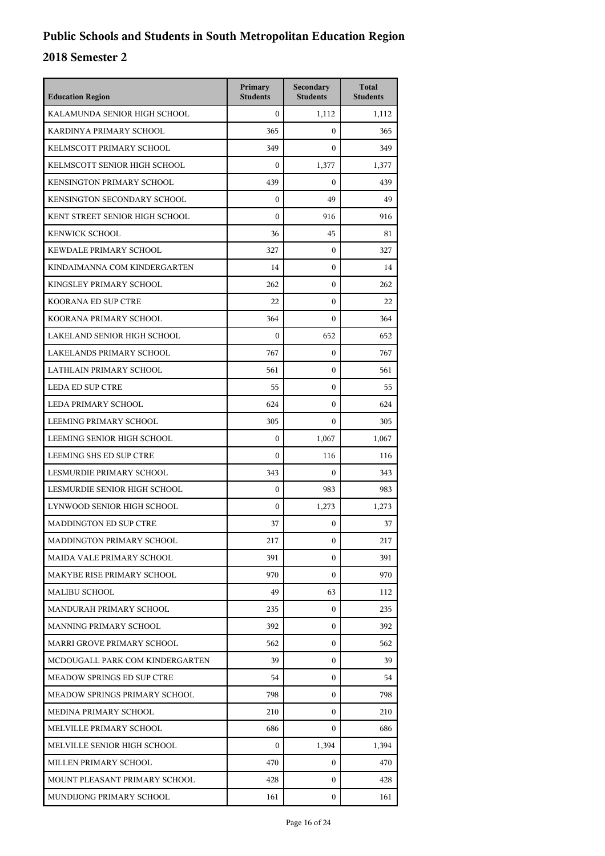| <b>Education Region</b>           | Primary<br><b>Students</b> | Secondary<br><b>Students</b> | <b>Total</b><br><b>Students</b> |
|-----------------------------------|----------------------------|------------------------------|---------------------------------|
| KALAMUNDA SENIOR HIGH SCHOOL      | $\mathbf{0}$               | 1,112                        | 1,112                           |
| KARDINYA PRIMARY SCHOOL           | 365                        | 0                            | 365                             |
| KELMSCOTT PRIMARY SCHOOL          | 349                        | $\theta$                     | 349                             |
| KELMSCOTT SENIOR HIGH SCHOOL      | $\mathbf{0}$               | 1,377                        | 1,377                           |
| KENSINGTON PRIMARY SCHOOL         | 439                        | 0                            | 439                             |
| KENSINGTON SECONDARY SCHOOL       | $\mathbf{0}$               | 49                           | 49                              |
| KENT STREET SENIOR HIGH SCHOOL    | $\boldsymbol{0}$           | 916                          | 916                             |
| <b>KENWICK SCHOOL</b>             | 36                         | 45                           | 81                              |
| KEWDALE PRIMARY SCHOOL            | 327                        | 0                            | 327                             |
| KINDAIMANNA COM KINDERGARTEN      | 14                         | 0                            | 14                              |
| KINGSLEY PRIMARY SCHOOL           | 262                        | $\overline{0}$               | 262                             |
| KOORANA ED SUP CTRE               | 22                         | $\overline{0}$               | 22                              |
| KOORANA PRIMARY SCHOOL            | 364                        | $\overline{0}$               | 364                             |
| LAKELAND SENIOR HIGH SCHOOL       | $\mathbf{0}$               | 652                          | 652                             |
| LAKELANDS PRIMARY SCHOOL          | 767                        | 0                            | 767                             |
| LATHLAIN PRIMARY SCHOOL           | 561                        | $\overline{0}$               | 561                             |
| <b>LEDA ED SUP CTRE</b>           | 55                         | 0                            | 55                              |
| LEDA PRIMARY SCHOOL               | 624                        | $\overline{0}$               | 624                             |
| LEEMING PRIMARY SCHOOL            | 305                        | 0                            | 305                             |
| LEEMING SENIOR HIGH SCHOOL        | $\mathbf{0}$               | 1,067                        | 1,067                           |
| LEEMING SHS ED SUP CTRE           | $\mathbf{0}$               | 116                          | 116                             |
| LESMURDIE PRIMARY SCHOOL          | 343                        | 0                            | 343                             |
| LESMURDIE SENIOR HIGH SCHOOL      | $\mathbf{0}$               | 983                          | 983                             |
| LYNWOOD SENIOR HIGH SCHOOL        | $\boldsymbol{0}$           | 1,273                        | 1,273                           |
| <b>MADDINGTON ED SUP CTRE</b>     | 37                         | 0                            | 37                              |
| MADDINGTON PRIMARY SCHOOL         | 217                        | 0                            | 217                             |
| MAIDA VALE PRIMARY SCHOOL         | 391                        | 0                            | 391                             |
| MAKYBE RISE PRIMARY SCHOOL        | 970                        | 0                            | 970                             |
| MALIBU SCHOOL                     | 49                         | 63                           | 112                             |
| MANDURAH PRIMARY SCHOOL           | 235                        | 0                            | 235                             |
| MANNING PRIMARY SCHOOL            | 392                        | 0                            | 392                             |
| MARRI GROVE PRIMARY SCHOOL        | 562                        | 0                            | 562                             |
| MCDOUGALL PARK COM KINDERGARTEN   | 39                         | 0                            | 39                              |
| <b>MEADOW SPRINGS ED SUP CTRE</b> | 54                         | 0                            | 54                              |
| MEADOW SPRINGS PRIMARY SCHOOL     | 798                        | 0                            | 798                             |
| MEDINA PRIMARY SCHOOL             | 210                        | 0                            | 210                             |
| MELVILLE PRIMARY SCHOOL           | 686                        | 0                            | 686                             |
| MELVILLE SENIOR HIGH SCHOOL       | $\mathbf{0}$               | 1,394                        | 1,394                           |
| MILLEN PRIMARY SCHOOL             | 470                        | 0                            | 470                             |
| MOUNT PLEASANT PRIMARY SCHOOL     | 428                        | 0                            | 428                             |
| MUNDIJONG PRIMARY SCHOOL          | 161                        | 0                            | 161                             |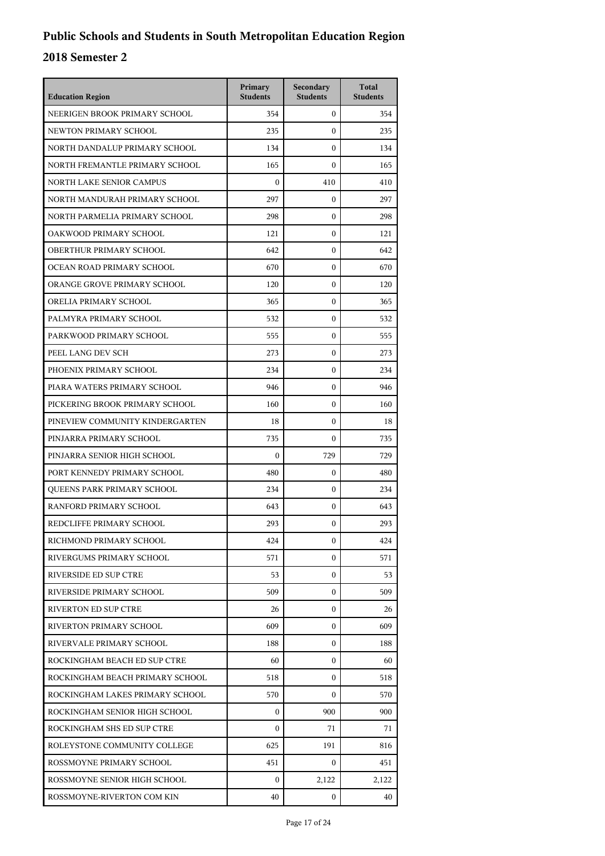| <b>Education Region</b>         | Primary<br><b>Students</b> | Secondary<br><b>Students</b> | <b>Total</b><br><b>Students</b> |
|---------------------------------|----------------------------|------------------------------|---------------------------------|
| NEERIGEN BROOK PRIMARY SCHOOL   | 354                        | $\mathbf{0}$                 | 354                             |
| NEWTON PRIMARY SCHOOL           | 235                        | $\boldsymbol{0}$             | 235                             |
| NORTH DANDALUP PRIMARY SCHOOL   | 134                        | $\boldsymbol{0}$             | 134                             |
| NORTH FREMANTLE PRIMARY SCHOOL  | 165                        | $\mathbf{0}$                 | 165                             |
| <b>NORTH LAKE SENIOR CAMPUS</b> | $\Omega$                   | 410                          | 410                             |
| NORTH MANDURAH PRIMARY SCHOOL   | 297                        | $\mathbf{0}$                 | 297                             |
| NORTH PARMELIA PRIMARY SCHOOL   | 298                        | $\boldsymbol{0}$             | 298                             |
| OAKWOOD PRIMARY SCHOOL          | 121                        | $\boldsymbol{0}$             | 121                             |
| OBERTHUR PRIMARY SCHOOL         | 642                        | $\boldsymbol{0}$             | 642                             |
| OCEAN ROAD PRIMARY SCHOOL       | 670                        | $\boldsymbol{0}$             | 670                             |
| ORANGE GROVE PRIMARY SCHOOL     | 120                        | $\mathbf{0}$                 | 120                             |
| ORELIA PRIMARY SCHOOL           | 365                        | $\boldsymbol{0}$             | 365                             |
| PALMYRA PRIMARY SCHOOL          | 532                        | $\boldsymbol{0}$             | 532                             |
| PARKWOOD PRIMARY SCHOOL         | 555                        | $\boldsymbol{0}$             | 555                             |
| PEEL LANG DEV SCH               | 273                        | $\mathbf{0}$                 | 273                             |
| PHOENIX PRIMARY SCHOOL          | 234                        | $\mathbf{0}$                 | 234                             |
| PIARA WATERS PRIMARY SCHOOL     | 946                        | $\boldsymbol{0}$             | 946                             |
| PICKERING BROOK PRIMARY SCHOOL  | 160                        | $\boldsymbol{0}$             | 160                             |
| PINEVIEW COMMUNITY KINDERGARTEN | 18                         | $\boldsymbol{0}$             | 18                              |
| PINJARRA PRIMARY SCHOOL         | 735                        | 0                            | 735                             |
| PINJARRA SENIOR HIGH SCHOOL     | $\boldsymbol{0}$           | 729                          | 729                             |
| PORT KENNEDY PRIMARY SCHOOL     | 480                        | $\mathbf{0}$                 | 480                             |
| QUEENS PARK PRIMARY SCHOOL      | 234                        | $\mathbf{0}$                 | 234                             |
| RANFORD PRIMARY SCHOOL          | 643                        | $\mathbf{0}$                 | 643                             |
| REDCLIFFE PRIMARY SCHOOL        | 293                        | $\mathbf{0}$                 | 293                             |
| RICHMOND PRIMARY SCHOOL         | 424                        | $\boldsymbol{0}$             | 424                             |
| RIVERGUMS PRIMARY SCHOOL        | 571                        | $\mathbf{0}$                 | 571                             |
| RIVERSIDE ED SUP CTRE           | 53                         | $\mathbf{0}$                 | 53                              |
| RIVERSIDE PRIMARY SCHOOL        | 509                        | $\mathbf{0}$                 | 509                             |
| <b>RIVERTON ED SUP CTRE</b>     | 26                         | $\mathbf{0}$                 | 26                              |
| RIVERTON PRIMARY SCHOOL         | 609                        | $\mathbf{0}$                 | 609                             |
| RIVERVALE PRIMARY SCHOOL        | 188                        | $\mathbf{0}$                 | 188                             |
| ROCKINGHAM BEACH ED SUP CTRE    | 60                         | $\mathbf{0}$                 | 60                              |
| ROCKINGHAM BEACH PRIMARY SCHOOL | 518                        | 0                            | 518                             |
| ROCKINGHAM LAKES PRIMARY SCHOOL | 570                        | $\mathbf{0}$                 | 570                             |
| ROCKINGHAM SENIOR HIGH SCHOOL   | $\mathbf{0}$               | 900                          | 900                             |
| ROCKINGHAM SHS ED SUP CTRE      | $\Omega$                   | 71                           | 71                              |
| ROLEYSTONE COMMUNITY COLLEGE    | 625                        | 191                          | 816                             |
| ROSSMOYNE PRIMARY SCHOOL        | 451                        | 0                            | 451                             |
| ROSSMOYNE SENIOR HIGH SCHOOL    | 0                          | 2,122                        | 2,122                           |
| ROSSMOYNE-RIVERTON COM KIN      | 40                         | 0                            | 40                              |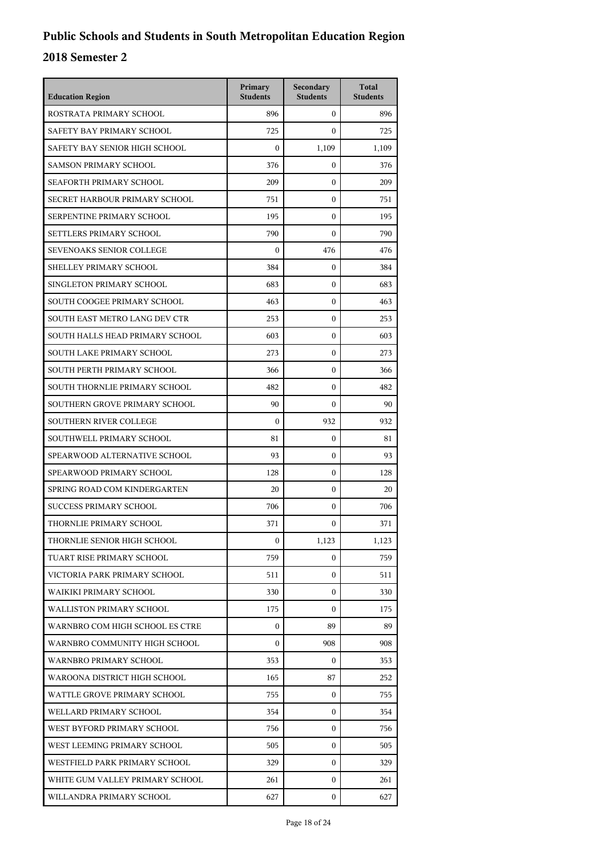| <b>Education Region</b>         | Primary<br><b>Students</b> | Secondary<br><b>Students</b> | <b>Total</b><br><b>Students</b> |
|---------------------------------|----------------------------|------------------------------|---------------------------------|
| ROSTRATA PRIMARY SCHOOL         | 896                        | $\overline{0}$               | 896                             |
| SAFETY BAY PRIMARY SCHOOL       | 725                        | $\mathbf{0}$                 | 725                             |
| SAFETY BAY SENIOR HIGH SCHOOL   | $\mathbf{0}$               | 1,109                        | 1,109                           |
| <b>SAMSON PRIMARY SCHOOL</b>    | 376                        | $\mathbf{0}$                 | 376                             |
| SEAFORTH PRIMARY SCHOOL         | 209                        | $\mathbf{0}$                 | 209                             |
| SECRET HARBOUR PRIMARY SCHOOL   | 751                        | $\mathbf{0}$                 | 751                             |
| SERPENTINE PRIMARY SCHOOL       | 195                        | $\mathbf{0}$                 | 195                             |
| SETTLERS PRIMARY SCHOOL         | 790                        | $\mathbf{0}$                 | 790                             |
| <b>SEVENOAKS SENIOR COLLEGE</b> | $\mathbf{0}$               | 476                          | 476                             |
| SHELLEY PRIMARY SCHOOL          | 384                        | $\mathbf{0}$                 | 384                             |
| SINGLETON PRIMARY SCHOOL        | 683                        | $\mathbf{0}$                 | 683                             |
| SOUTH COOGEE PRIMARY SCHOOL     | 463                        | $\mathbf{0}$                 | 463                             |
| SOUTH EAST METRO LANG DEV CTR   | 253                        | $\mathbf{0}$                 | 253                             |
| SOUTH HALLS HEAD PRIMARY SCHOOL | 603                        | $\mathbf{0}$                 | 603                             |
| SOUTH LAKE PRIMARY SCHOOL       | 273                        | $\mathbf{0}$                 | 273                             |
| SOUTH PERTH PRIMARY SCHOOL      | 366                        | $\mathbf{0}$                 | 366                             |
| SOUTH THORNLIE PRIMARY SCHOOL   | 482                        | $\mathbf{0}$                 | 482                             |
| SOUTHERN GROVE PRIMARY SCHOOL   | 90                         | $\mathbf{0}$                 | 90                              |
| <b>SOUTHERN RIVER COLLEGE</b>   | $\mathbf{0}$               | 932                          | 932                             |
| SOUTHWELL PRIMARY SCHOOL        | 81                         | $\mathbf{0}$                 | 81                              |
| SPEARWOOD ALTERNATIVE SCHOOL    | 93                         | $\mathbf{0}$                 | 93                              |
| SPEARWOOD PRIMARY SCHOOL        | 128                        | $\mathbf{0}$                 | 128                             |
| SPRING ROAD COM KINDERGARTEN    | 20                         | $\mathbf{0}$                 | 20                              |
| <b>SUCCESS PRIMARY SCHOOL</b>   | 706                        | $\mathbf{0}$                 | 706                             |
| THORNLIE PRIMARY SCHOOL         | 371                        | $\mathbf{0}$                 | 371                             |
| THORNLIE SENIOR HIGH SCHOOL     | $\boldsymbol{0}$           | 1,123                        | 1,123                           |
| TUART RISE PRIMARY SCHOOL       | 759                        | $\mathbf{0}$                 | 759                             |
| VICTORIA PARK PRIMARY SCHOOL    | 511                        | $\mathbf{0}$                 | 511                             |
| WAIKIKI PRIMARY SCHOOL          | 330                        | 0                            | 330                             |
| <b>WALLISTON PRIMARY SCHOOL</b> | 175                        | $\Omega$                     | 175                             |
| WARNBRO COM HIGH SCHOOL ES CTRE | $\mathbf{0}$               | 89                           | 89                              |
| WARNBRO COMMUNITY HIGH SCHOOL   | $\mathbf{0}$               | 908                          | 908                             |
| WARNBRO PRIMARY SCHOOL          | 353                        | $\mathbf{0}$                 | 353                             |
| WAROONA DISTRICT HIGH SCHOOL    | 165                        | 87                           | 252                             |
| WATTLE GROVE PRIMARY SCHOOL     | 755                        | $\mathbf{0}$                 | 755                             |
| WELLARD PRIMARY SCHOOL          | 354                        | $\mathbf{0}$                 | 354                             |
| WEST BYFORD PRIMARY SCHOOL      | 756                        | $\mathbf{0}$                 | 756                             |
| WEST LEEMING PRIMARY SCHOOL     | 505                        | $\mathbf{0}$                 | 505                             |
| WESTFIELD PARK PRIMARY SCHOOL   | 329                        | $\mathbf{0}$                 | 329                             |
| WHITE GUM VALLEY PRIMARY SCHOOL | 261                        | $\mathbf{0}$                 | 261                             |
| WILLANDRA PRIMARY SCHOOL        | 627                        | $\mathbf{0}$                 | 627                             |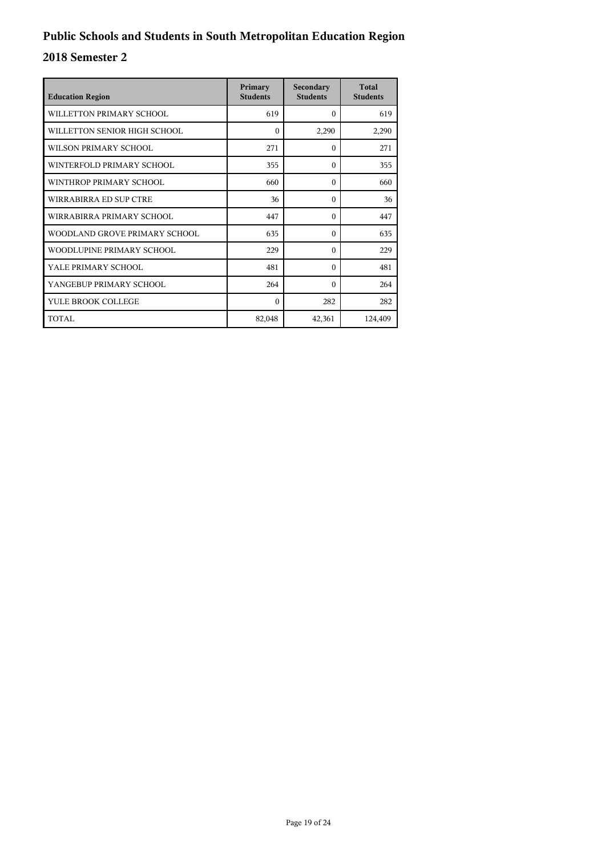| <b>Education Region</b>       | Primary<br><b>Students</b> | Secondary<br><b>Students</b> | <b>Total</b><br><b>Students</b> |
|-------------------------------|----------------------------|------------------------------|---------------------------------|
| WILLETTON PRIMARY SCHOOL      | 619                        | $\Omega$                     | 619                             |
| WILLETTON SENIOR HIGH SCHOOL  | $\theta$                   | 2,290                        | 2,290                           |
| WILSON PRIMARY SCHOOL         | 271                        | $\theta$                     | 271                             |
| WINTERFOLD PRIMARY SCHOOL     | 355                        | $\theta$                     | 355                             |
| WINTHROP PRIMARY SCHOOL       | 660                        | $\Omega$                     | 660                             |
| WIRRABIRRA ED SUP CTRE        | 36                         | $\theta$                     | 36                              |
| WIRRABIRRA PRIMARY SCHOOL     | 447                        | $\theta$                     | 447                             |
| WOODLAND GROVE PRIMARY SCHOOL | 635                        | $\Omega$                     | 635                             |
| WOODLUPINE PRIMARY SCHOOL     | 229                        | $\Omega$                     | 229                             |
| YALE PRIMARY SCHOOL           | 481                        | $\Omega$                     | 481                             |
| YANGEBUP PRIMARY SCHOOL       | 264                        | $\Omega$                     | 264                             |
| YULE BROOK COLLEGE            | $\Omega$                   | 282                          | 282                             |
| TOTAL                         | 82,048                     | 42,361                       | 124,409                         |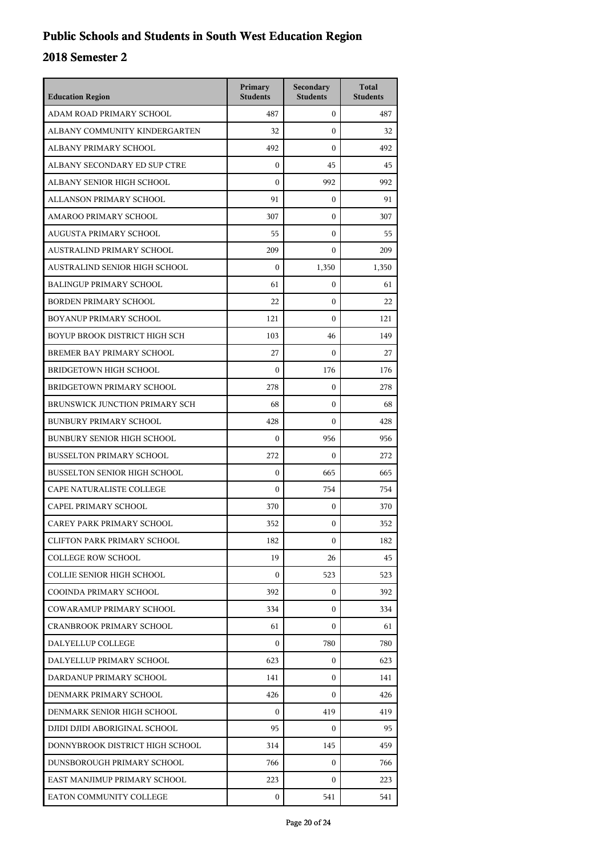| <b>Education Region</b>              | Primary<br><b>Students</b> | Secondary<br><b>Students</b> | <b>Total</b><br><b>Students</b> |
|--------------------------------------|----------------------------|------------------------------|---------------------------------|
| ADAM ROAD PRIMARY SCHOOL             | 487                        | $\overline{0}$               | 487                             |
| ALBANY COMMUNITY KINDERGARTEN        | 32                         | $\mathbf{0}$                 | 32                              |
| ALBANY PRIMARY SCHOOL                | 492                        | $\mathbf{0}$                 | 492                             |
| ALBANY SECONDARY ED SUP CTRE         | $\mathbf{0}$               | 45                           | 45                              |
| ALBANY SENIOR HIGH SCHOOL            | $\mathbf{0}$               | 992                          | 992                             |
| ALLANSON PRIMARY SCHOOL              | 91                         | $\mathbf{0}$                 | 91                              |
| AMAROO PRIMARY SCHOOL                | 307                        | $\mathbf{0}$                 | 307                             |
| AUGUSTA PRIMARY SCHOOL               | 55                         | $\boldsymbol{0}$             | 55                              |
| AUSTRALIND PRIMARY SCHOOL            | 209                        | $\mathbf{0}$                 | 209                             |
| AUSTRALIND SENIOR HIGH SCHOOL        | $\mathbf{0}$               | 1,350                        | 1,350                           |
| <b>BALINGUP PRIMARY SCHOOL</b>       | 61                         | $\mathbf{0}$                 | 61                              |
| <b>BORDEN PRIMARY SCHOOL</b>         | 22                         | $\mathbf{0}$                 | 22                              |
| BOYANUP PRIMARY SCHOOL               | 121                        | $\boldsymbol{0}$             | 121                             |
| <b>BOYUP BROOK DISTRICT HIGH SCH</b> | 103                        | 46                           | 149                             |
| BREMER BAY PRIMARY SCHOOL            | 27                         | $\Omega$                     | 27                              |
| <b>BRIDGETOWN HIGH SCHOOL</b>        | $\mathbf{0}$               | 176                          | 176                             |
| BRIDGETOWN PRIMARY SCHOOL            | 278                        | $\mathbf{0}$                 | 278                             |
| BRUNSWICK JUNCTION PRIMARY SCH       | 68                         | $\boldsymbol{0}$             | 68                              |
| <b>BUNBURY PRIMARY SCHOOL</b>        | 428                        | $\boldsymbol{0}$             | 428                             |
| <b>BUNBURY SENIOR HIGH SCHOOL</b>    | $\mathbf{0}$               | 956                          | 956                             |
| <b>BUSSELTON PRIMARY SCHOOL</b>      | 272                        | $\mathbf{0}$                 | 272                             |
| <b>BUSSELTON SENIOR HIGH SCHOOL</b>  | $\mathbf{0}$               | 665                          | 665                             |
| CAPE NATURALISTE COLLEGE             | $\mathbf{0}$               | 754                          | 754                             |
| CAPEL PRIMARY SCHOOL                 | 370                        | $\mathbf{0}$                 | 370                             |
| CAREY PARK PRIMARY SCHOOL            | 352                        | $\mathbf{0}$                 | 352                             |
| CLIFTON PARK PRIMARY SCHOOL          | 182                        | 0                            | 182                             |
| <b>COLLEGE ROW SCHOOL</b>            | 19                         | 26                           | 45                              |
| COLLIE SENIOR HIGH SCHOOL            | $\mathbf{0}$               | 523                          | 523                             |
| COOINDA PRIMARY SCHOOL               | 392                        | $\mathbf{0}$                 | 392                             |
| COWARAMUP PRIMARY SCHOOL             | 334                        | $\Omega$                     | 334                             |
| <b>CRANBROOK PRIMARY SCHOOL</b>      | 61                         | $\Omega$                     | 61                              |
| DALYELLUP COLLEGE                    | $\Omega$                   | 780                          | 780                             |
| DALYELLUP PRIMARY SCHOOL             | 623                        | $\mathbf{0}$                 | 623                             |
| DARDANUP PRIMARY SCHOOL              | 141                        | $\mathbf{0}$                 | 141                             |
| DENMARK PRIMARY SCHOOL               | 426                        | $\Omega$                     | 426                             |
| DENMARK SENIOR HIGH SCHOOL           | $\Omega$                   | 419                          | 419                             |
| DJIDI DJIDI ABORIGINAL SCHOOL        | 95                         | $\mathbf{0}$                 | 95                              |
| DONNYBROOK DISTRICT HIGH SCHOOL      | 314                        | 145                          | 459                             |
| DUNSBOROUGH PRIMARY SCHOOL           | 766                        | $\mathbf{0}$                 | 766                             |
| EAST MANJIMUP PRIMARY SCHOOL         | 223                        | $\Omega$                     | 223                             |
| EATON COMMUNITY COLLEGE              | $\mathbf{0}$               | 541                          | 541                             |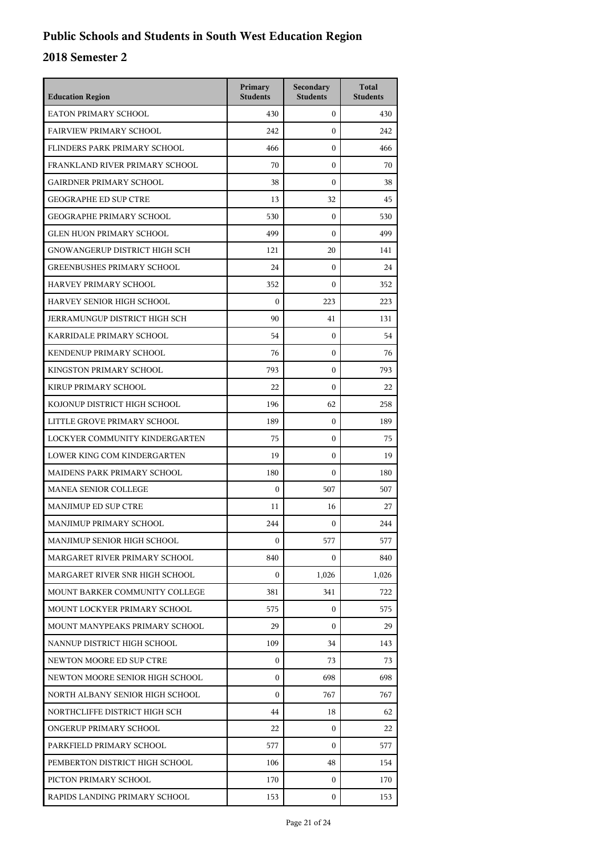| <b>Education Region</b>              | Primary<br><b>Students</b> | Secondary<br><b>Students</b> | <b>Total</b><br><b>Students</b> |
|--------------------------------------|----------------------------|------------------------------|---------------------------------|
| EATON PRIMARY SCHOOL                 | 430                        | $\mathbf{0}$                 | 430                             |
| <b>FAIRVIEW PRIMARY SCHOOL</b>       | 242                        | $\boldsymbol{0}$             | 242                             |
| FLINDERS PARK PRIMARY SCHOOL         | 466                        | $\boldsymbol{0}$             | 466                             |
| FRANKLAND RIVER PRIMARY SCHOOL       | 70                         | $\boldsymbol{0}$             | 70                              |
| <b>GAIRDNER PRIMARY SCHOOL</b>       | 38                         | $\mathbf{0}$                 | 38                              |
| <b>GEOGRAPHE ED SUP CTRE</b>         | 13                         | 32                           | 45                              |
| <b>GEOGRAPHE PRIMARY SCHOOL</b>      | 530                        | $\boldsymbol{0}$             | 530                             |
| <b>GLEN HUON PRIMARY SCHOOL</b>      | 499                        | $\boldsymbol{0}$             | 499                             |
| GNOWANGERUP DISTRICT HIGH SCH        | 121                        | 20                           | 141                             |
| <b>GREENBUSHES PRIMARY SCHOOL</b>    | 24                         | $\boldsymbol{0}$             | 24                              |
| HARVEY PRIMARY SCHOOL                | 352                        | $\mathbf{0}$                 | 352                             |
| HARVEY SENIOR HIGH SCHOOL            | $\boldsymbol{0}$           | 223                          | 223                             |
| <b>JERRAMUNGUP DISTRICT HIGH SCH</b> | 90                         | 41                           | 131                             |
| KARRIDALE PRIMARY SCHOOL             | 54                         | 0                            | 54                              |
| KENDENUP PRIMARY SCHOOL              | 76                         | $\mathbf{0}$                 | 76                              |
| KINGSTON PRIMARY SCHOOL              | 793                        | $\mathbf{0}$                 | 793                             |
| KIRUP PRIMARY SCHOOL                 | 22                         | $\boldsymbol{0}$             | 22                              |
| KOJONUP DISTRICT HIGH SCHOOL         | 196                        | 62                           | 258                             |
| LITTLE GROVE PRIMARY SCHOOL          | 189                        | $\boldsymbol{0}$             | 189                             |
| LOCKYER COMMUNITY KINDERGARTEN       | 75                         | 0                            | 75                              |
| LOWER KING COM KINDERGARTEN          | 19                         | $\mathbf{0}$                 | 19                              |
| MAIDENS PARK PRIMARY SCHOOL          | 180                        | $\boldsymbol{0}$             | 180                             |
| <b>MANEA SENIOR COLLEGE</b>          | $\mathbf{0}$               | 507                          | 507                             |
| MANJIMUP ED SUP CTRE                 | 11                         | 16                           | 27                              |
| MANJIMUP PRIMARY SCHOOL              | 244                        | $\mathbf{0}$                 | 244                             |
| MANJIMUP SENIOR HIGH SCHOOL          | $\mathbf{0}$               | 577                          | 577                             |
| MARGARET RIVER PRIMARY SCHOOL        | 840                        | 0                            | 840                             |
| MARGARET RIVER SNR HIGH SCHOOL       | $\boldsymbol{0}$           | 1,026                        | 1,026                           |
| MOUNT BARKER COMMUNITY COLLEGE       | 381                        | 341                          | 722                             |
| MOUNT LOCKYER PRIMARY SCHOOL         | 575                        | $\mathbf{0}$                 | 575                             |
| MOUNT MANYPEAKS PRIMARY SCHOOL       | 29                         | 0                            | 29                              |
| NANNUP DISTRICT HIGH SCHOOL          | 109                        | 34                           | 143                             |
| NEWTON MOORE ED SUP CTRE             | $\boldsymbol{0}$           | 73                           | 73                              |
| NEWTON MOORE SENIOR HIGH SCHOOL      | $\boldsymbol{0}$           | 698                          | 698                             |
| NORTH ALBANY SENIOR HIGH SCHOOL      | $\boldsymbol{0}$           | 767                          | 767                             |
| NORTHCLIFFE DISTRICT HIGH SCH        | 44                         | 18                           | 62                              |
| ONGERUP PRIMARY SCHOOL               | 22                         | 0                            | 22                              |
| PARKFIELD PRIMARY SCHOOL             | 577                        | $\Omega$                     | 577                             |
| PEMBERTON DISTRICT HIGH SCHOOL       | 106                        | 48                           | 154                             |
| PICTON PRIMARY SCHOOL                | 170                        | $\mathbf{0}$                 | 170                             |
| RAPIDS LANDING PRIMARY SCHOOL        | 153                        | 0                            | 153                             |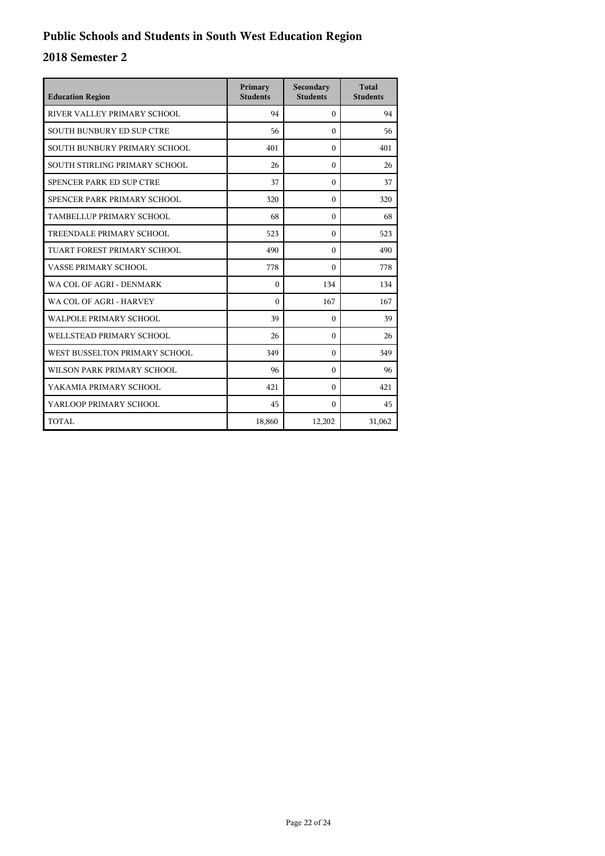| <b>Education Region</b>          | Primary<br><b>Students</b> | Secondary<br><b>Students</b> | <b>Total</b><br><b>Students</b> |
|----------------------------------|----------------------------|------------------------------|---------------------------------|
| RIVER VALLEY PRIMARY SCHOOL      | 94                         | $\Omega$                     | 94                              |
| <b>SOUTH BUNBURY ED SUP CTRE</b> | 56                         | $\theta$                     | 56                              |
| SOUTH BUNBURY PRIMARY SCHOOL     | 401                        | $\Omega$                     | 401                             |
| SOUTH STIRLING PRIMARY SCHOOL    | 26                         | $\Omega$                     | 26                              |
| SPENCER PARK ED SUP CTRE         | 37                         | $\Omega$                     | 37                              |
| SPENCER PARK PRIMARY SCHOOL      | 320                        | $\Omega$                     | 320                             |
| TAMBELLUP PRIMARY SCHOOL         | 68                         | $\theta$                     | 68                              |
| TREENDALE PRIMARY SCHOOL         | 523                        | $\Omega$                     | 523                             |
| TUART FOREST PRIMARY SCHOOL      | 490                        | $\Omega$                     | 490                             |
| <b>VASSE PRIMARY SCHOOL</b>      | 778                        | $\Omega$                     | 778                             |
| WA COL OF AGRI - DENMARK         | $\theta$                   | 134                          | 134                             |
| WA COL OF AGRI - HARVEY          | $\Omega$                   | 167                          | 167                             |
| <b>WALPOLE PRIMARY SCHOOL</b>    | 39                         | $\Omega$                     | 39                              |
| WELLSTEAD PRIMARY SCHOOL         | 26                         | $\Omega$                     | 26                              |
| WEST BUSSELTON PRIMARY SCHOOL    | 349                        | $\Omega$                     | 349                             |
| WILSON PARK PRIMARY SCHOOL       | 96                         | $\Omega$                     | 96                              |
| YAKAMIA PRIMARY SCHOOL           | 421                        | $\theta$                     | 421                             |
| YARLOOP PRIMARY SCHOOL           | 45                         | $\Omega$                     | 45                              |
| TOTAL                            | 18,860                     | 12,202                       | 31,062                          |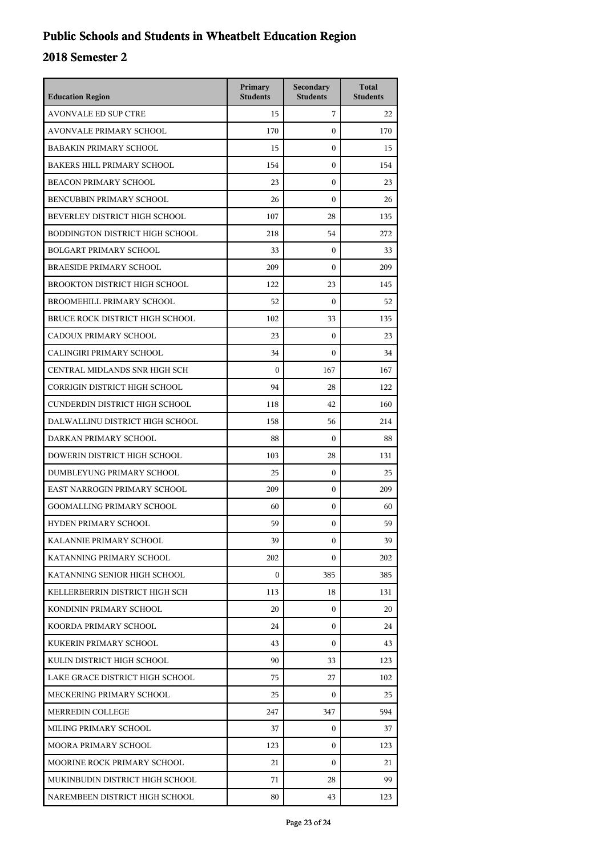## **Public Schools and Students in Wheatbelt Education Region**

| <b>Education Region</b>              | Primary<br><b>Students</b> | Secondary<br><b>Students</b> | <b>Total</b><br><b>Students</b> |
|--------------------------------------|----------------------------|------------------------------|---------------------------------|
| <b>AVONVALE ED SUP CTRE</b>          | 15                         | 7                            | 22                              |
| <b>AVONVALE PRIMARY SCHOOL</b>       | 170                        | $\mathbf{0}$                 | 170                             |
| <b>BABAKIN PRIMARY SCHOOL</b>        | 15                         | $\mathbf{0}$                 | 15                              |
| <b>BAKERS HILL PRIMARY SCHOOL</b>    | 154                        | $\mathbf{0}$                 | 154                             |
| BEACON PRIMARY SCHOOL                | 23                         | $\mathbf{0}$                 | 23                              |
| BENCUBBIN PRIMARY SCHOOL             | 26                         | $\mathbf{0}$                 | 26                              |
| BEVERLEY DISTRICT HIGH SCHOOL        | 107                        | 28                           | 135                             |
| BODDINGTON DISTRICT HIGH SCHOOL      | 218                        | 54                           | 272                             |
| <b>BOLGART PRIMARY SCHOOL</b>        | 33                         | $\mathbf{0}$                 | 33                              |
| <b>BRAESIDE PRIMARY SCHOOL</b>       | 209                        | 0                            | 209                             |
| BROOKTON DISTRICT HIGH SCHOOL        | 122                        | 23                           | 145                             |
| BROOMEHILL PRIMARY SCHOOL            | 52                         | $\mathbf{0}$                 | 52                              |
| BRUCE ROCK DISTRICT HIGH SCHOOL      | 102                        | 33                           | 135                             |
| CADOUX PRIMARY SCHOOL                | 23                         | $\mathbf{0}$                 | 23                              |
| CALINGIRI PRIMARY SCHOOL             | 34                         | 0                            | 34                              |
| CENTRAL MIDLANDS SNR HIGH SCH        | $\theta$                   | 167                          | 167                             |
| <b>CORRIGIN DISTRICT HIGH SCHOOL</b> | 94                         | 28                           | 122                             |
| CUNDERDIN DISTRICT HIGH SCHOOL       | 118                        | 42                           | 160                             |
| DALWALLINU DISTRICT HIGH SCHOOL      | 158                        | 56                           | 214                             |
| DARKAN PRIMARY SCHOOL                | 88                         | $\mathbf{0}$                 | 88                              |
| DOWERIN DISTRICT HIGH SCHOOL         | 103                        | 28                           | 131                             |
| DUMBLEYUNG PRIMARY SCHOOL            | 25                         | $\mathbf{0}$                 | 25                              |
| EAST NARROGIN PRIMARY SCHOOL         | 209                        | $\mathbf{0}$                 | 209                             |
| <b>GOOMALLING PRIMARY SCHOOL</b>     | 60                         | $\mathbf{0}$                 | 60                              |
| HYDEN PRIMARY SCHOOL                 | 59                         | 0                            | 59                              |
| KALANNIE PRIMARY SCHOOL              | 39                         | $\mathbf{0}$                 | 39                              |
| KATANNING PRIMARY SCHOOL             | 202                        | $\mathbf{0}$                 | 202                             |
| KATANNING SENIOR HIGH SCHOOL         | $\mathbf{0}$               | 385                          | 385                             |
| KELLERBERRIN DISTRICT HIGH SCH       | 113                        | 18                           | 131                             |
| KONDININ PRIMARY SCHOOL              | 20                         | $\mathbf{0}$                 | 20                              |
| KOORDA PRIMARY SCHOOL                | 24                         | 0                            | 24                              |
| KUKERIN PRIMARY SCHOOL               | 43                         | $\mathbf{0}$                 | 43                              |
| KULIN DISTRICT HIGH SCHOOL           | 90                         | 33                           | 123                             |
| LAKE GRACE DISTRICT HIGH SCHOOL      | 75                         | 27                           | 102                             |
| MECKERING PRIMARY SCHOOL             | 25                         | $\mathbf{0}$                 | 25                              |
| MERREDIN COLLEGE                     | 247                        | 347                          | 594                             |
| MILING PRIMARY SCHOOL                | 37                         | $\mathbf{0}$                 | 37                              |
| MOORA PRIMARY SCHOOL                 | 123                        | $\mathbf{0}$                 | 123                             |
| MOORINE ROCK PRIMARY SCHOOL          | 21                         | $\mathbf{0}$                 | 21                              |
| MUKINBUDIN DISTRICT HIGH SCHOOL      | 71                         | 28                           | 99                              |
| NAREMBEEN DISTRICT HIGH SCHOOL       | 80                         | 43                           | 123                             |